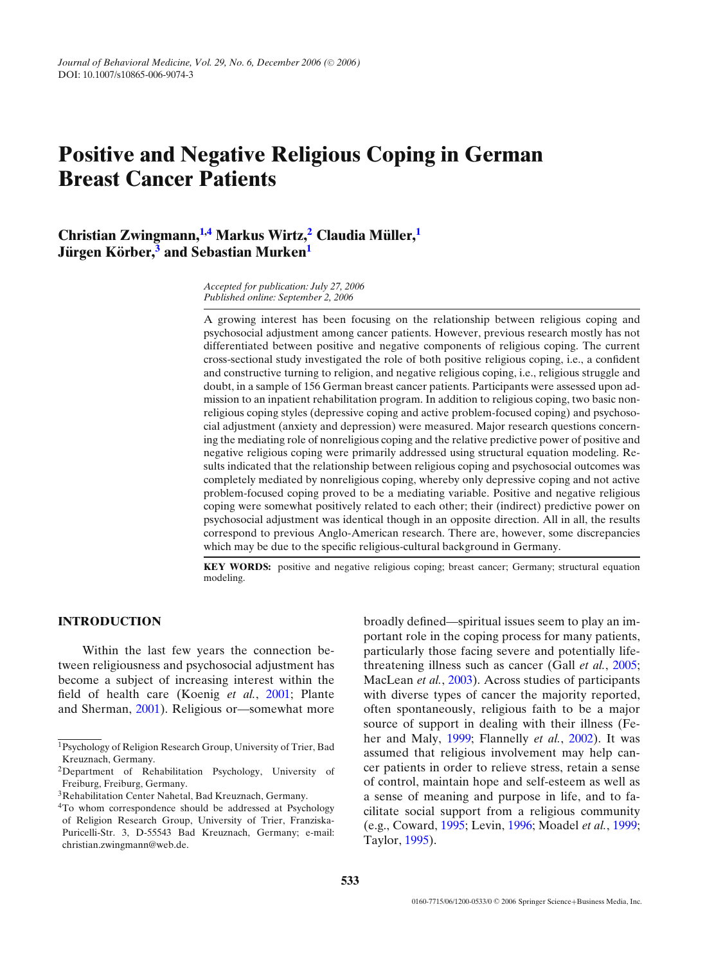# **Positive and Negative Religious Coping in German Breast Cancer Patients**

**Christian Zwingmann,[1,](#page-0-0)[4](#page-0-1) Markus Wirtz[,2](#page-0-2) Claudia M ¨uller,[1](#page-0-0) Jürgen Körber,**<sup>[3](#page-0-3)</sup> and Sebastian Murken<sup>[1](#page-0-0)</sup>

> *Accepted for publication: July 27, 2006 Published online: September 2, 2006*

A growing interest has been focusing on the relationship between religious coping and psychosocial adjustment among cancer patients. However, previous research mostly has not differentiated between positive and negative components of religious coping. The current cross-sectional study investigated the role of both positive religious coping, i.e., a confident and constructive turning to religion, and negative religious coping, i.e., religious struggle and doubt, in a sample of 156 German breast cancer patients. Participants were assessed upon admission to an inpatient rehabilitation program. In addition to religious coping, two basic nonreligious coping styles (depressive coping and active problem-focused coping) and psychosocial adjustment (anxiety and depression) were measured. Major research questions concerning the mediating role of nonreligious coping and the relative predictive power of positive and negative religious coping were primarily addressed using structural equation modeling. Results indicated that the relationship between religious coping and psychosocial outcomes was completely mediated by nonreligious coping, whereby only depressive coping and not active problem-focused coping proved to be a mediating variable. Positive and negative religious coping were somewhat positively related to each other; their (indirect) predictive power on psychosocial adjustment was identical though in an opposite direction. All in all, the results correspond to previous Anglo-American research. There are, however, some discrepancies which may be due to the specific religious-cultural background in Germany.

**KEY WORDS:** positive and negative religious coping; breast cancer; Germany; structural equation modeling.

# **[I](#page-0-0)NTRODUCTION**

Within the last few years the connection between religiousness and psychosocial adjustment has become a subject of increasing interest within the field of health care (Koenig *et al.*, [2001;](#page-14-0) Plante and Sherman, [2001\)](#page-14-1). Religious or—somewhat more broadly defined—spiritual issues seem to play an important role in the coping process for many patients, particularly those facing severe and potentially lifethreatening illness such as cancer (Gall *et al.*, [2005;](#page-13-0) MacLean *et al.*, [2003\)](#page-14-2). Across studies of participants with diverse types of cancer the majority reported, often spontaneously, religious faith to be a major source of support in dealing with their illness (Feher and Maly, [1999;](#page-13-1) Flannelly *et al.*, [2002\)](#page-13-2). It was assumed that religious involvement may help cancer patients in order to relieve stress, retain a sense of control, maintain hope and self-esteem as well as a sense of meaning and purpose in life, and to facilitate social support from a religious community (e.g., Coward, [1995;](#page-13-3) Levin, [1996;](#page-14-3) Moadel *et al.*, [1999;](#page-14-4) Taylor, [1995\)](#page-14-5).

<sup>1</sup>Psychology of Religion Research Group, University of Trier, Bad Kreuznach, Germany.

<span id="page-0-0"></span><sup>2</sup>Department of Rehabilitation Psychology, University of Freiburg, Freiburg, Germany.

<span id="page-0-2"></span><sup>3</sup>Rehabilitation Center Nahetal, Bad Kreuznach, Germany.

<span id="page-0-3"></span><span id="page-0-1"></span><sup>4</sup>To whom correspondence should be addressed at Psychology of Religion Research Group, University of Trier, Franziska-Puricelli-Str. 3, D-55543 Bad Kreuznach, Germany; e-mail: christian.zwingmann@web.de.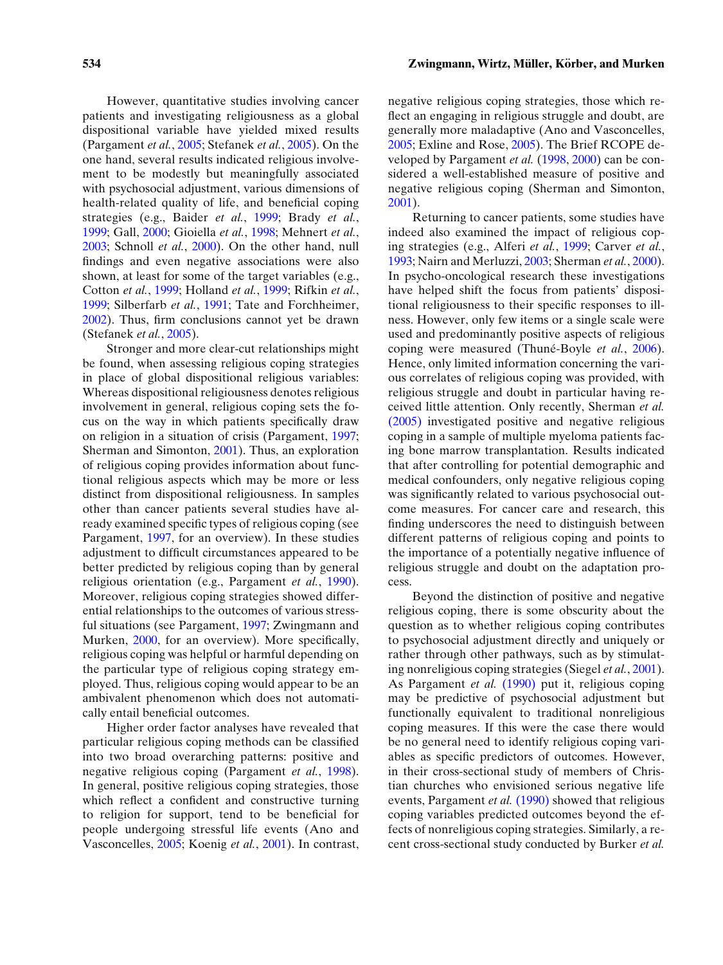However, quantitative studies involving cancer patients and investigating religiousness as a global dispositional variable have yielded mixed results (Pargament *et al.*, [2005;](#page-14-6) Stefanek *et al.*, [2005\)](#page-14-7). On the one hand, several results indicated religious involvement to be modestly but meaningfully associated with psychosocial adjustment, various dimensions of health-related quality of life, and beneficial coping strategies (e.g., Baider *et al.*, [1999;](#page-13-4) Brady *et al.*, [1999;](#page-13-5) Gall, [2000;](#page-13-6) Gioiella *et al.*, [1998;](#page-13-7) Mehnert *et al.*, [2003;](#page-14-8) Schnoll *et al.*, [2000\)](#page-14-9). On the other hand, null findings and even negative associations were also shown, at least for some of the target variables (e.g., Cotton *et al.*, [1999;](#page-13-8) Holland *et al.*, [1999;](#page-13-9) Rifkin *et al.*, [1999;](#page-14-10) Silberfarb *et al.*, [1991;](#page-14-11) Tate and Forchheimer, [2002\)](#page-14-12). Thus, firm conclusions cannot yet be drawn (Stefanek *et al.*, [2005\)](#page-14-7).

Stronger and more clear-cut relationships might be found, when assessing religious coping strategies in place of global dispositional religious variables: Whereas dispositional religiousness denotes religious involvement in general, religious coping sets the focus on the way in which patients specifically draw on religion in a situation of crisis (Pargament, [1997;](#page-14-13) Sherman and Simonton, [2001\)](#page-14-14). Thus, an exploration of religious coping provides information about functional religious aspects which may be more or less distinct from dispositional religiousness. In samples other than cancer patients several studies have already examined specific types of religious coping (see Pargament, [1997,](#page-14-13) for an overview). In these studies adjustment to difficult circumstances appeared to be better predicted by religious coping than by general religious orientation (e.g., Pargament *et al.*, [1990\)](#page-14-15). Moreover, religious coping strategies showed differential relationships to the outcomes of various stressful situations (see Pargament, [1997;](#page-14-13) Zwingmann and Murken, [2000,](#page-14-16) for an overview). More specifically, religious coping was helpful or harmful depending on the particular type of religious coping strategy employed. Thus, religious coping would appear to be an ambivalent phenomenon which does not automatically entail beneficial outcomes.

Higher order factor analyses have revealed that particular religious coping methods can be classified into two broad overarching patterns: positive and negative religious coping (Pargament *et al.*, [1998\)](#page-14-17). In general, positive religious coping strategies, those which reflect a confident and constructive turning to religion for support, tend to be beneficial for people undergoing stressful life events (Ano and Vasconcelles, [2005;](#page-13-10) Koenig *et al.*, [2001\)](#page-14-0). In contrast, negative religious coping strategies, those which reflect an engaging in religious struggle and doubt, are generally more maladaptive (Ano and Vasconcelles, [2005;](#page-13-10) Exline and Rose, [2005\)](#page-13-11). The Brief RCOPE developed by Pargament *et al.* [\(1998,](#page-14-17) [2000\)](#page-14-18) can be considered a well-established measure of positive and negative religious coping (Sherman and Simonton, [2001\)](#page-14-14).

Returning to cancer patients, some studies have indeed also examined the impact of religious coping strategies (e.g., Alferi *et al.*, [1999;](#page-13-12) Carver *et al.*, [1993;](#page-13-13) Nairn and Merluzzi, [2003;](#page-14-19) Sherman *et al.*, [2000\)](#page-14-20). In psycho-oncological research these investigations have helped shift the focus from patients' dispositional religiousness to their specific responses to illness. However, only few items or a single scale were used and predominantly positive aspects of religious coping were measured (Thuné-Boyle *et al.*, [2006\)](#page-14-21). Hence, only limited information concerning the various correlates of religious coping was provided, with religious struggle and doubt in particular having received little attention. Only recently, Sherman *et al.* [\(2005\)](#page-14-22) investigated positive and negative religious coping in a sample of multiple myeloma patients facing bone marrow transplantation. Results indicated that after controlling for potential demographic and medical confounders, only negative religious coping was significantly related to various psychosocial outcome measures. For cancer care and research, this finding underscores the need to distinguish between different patterns of religious coping and points to the importance of a potentially negative influence of religious struggle and doubt on the adaptation process.

Beyond the distinction of positive and negative religious coping, there is some obscurity about the question as to whether religious coping contributes to psychosocial adjustment directly and uniquely or rather through other pathways, such as by stimulating nonreligious coping strategies (Siegel *et al.*, [2001\)](#page-14-23). As Pargament *et al.* [\(1990\)](#page-14-15) put it, religious coping may be predictive of psychosocial adjustment but functionally equivalent to traditional nonreligious coping measures. If this were the case there would be no general need to identify religious coping variables as specific predictors of outcomes. However, in their cross-sectional study of members of Christian churches who envisioned serious negative life events, Pargament *et al.* [\(1990\)](#page-14-15) showed that religious coping variables predicted outcomes beyond the effects of nonreligious coping strategies. Similarly, a recent cross-sectional study conducted by Burker *et al.*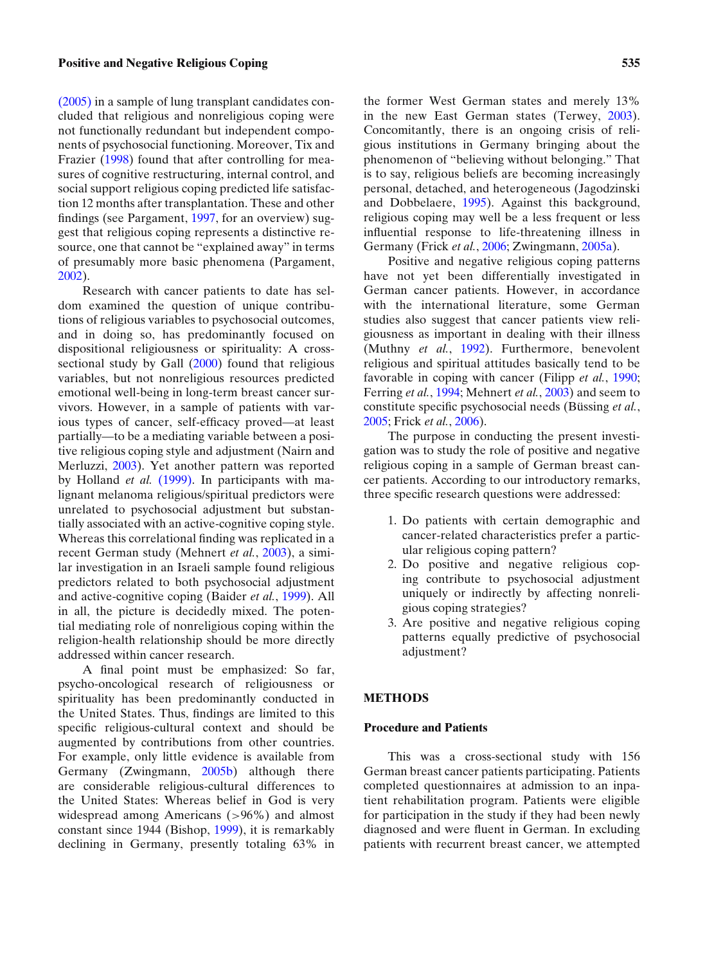## **Positive and Negative Religious Coping 535**

[\(2005\)](#page-13-14) in a sample of lung transplant candidates concluded that religious and nonreligious coping were not functionally redundant but independent components of psychosocial functioning. Moreover, Tix and Frazier [\(1998\)](#page-14-24) found that after controlling for measures of cognitive restructuring, internal control, and social support religious coping predicted life satisfaction 12 months after transplantation. These and other findings (see Pargament, [1997,](#page-14-13) for an overview) suggest that religious coping represents a distinctive resource, one that cannot be "explained away" in terms of presumably more basic phenomena (Pargament, [2002\)](#page-14-25).

Research with cancer patients to date has seldom examined the question of unique contributions of religious variables to psychosocial outcomes, and in doing so, has predominantly focused on dispositional religiousness or spirituality: A crosssectional study by Gall [\(2000\)](#page-13-6) found that religious variables, but not nonreligious resources predicted emotional well-being in long-term breast cancer survivors. However, in a sample of patients with various types of cancer, self-efficacy proved—at least partially—to be a mediating variable between a positive religious coping style and adjustment (Nairn and Merluzzi, [2003\)](#page-14-19). Yet another pattern was reported by Holland *et al.* [\(1999\).](#page-13-9) In participants with malignant melanoma religious/spiritual predictors were unrelated to psychosocial adjustment but substantially associated with an active-cognitive coping style. Whereas this correlational finding was replicated in a recent German study (Mehnert *et al.*, [2003\)](#page-14-8), a similar investigation in an Israeli sample found religious predictors related to both psychosocial adjustment and active-cognitive coping (Baider *et al.*, [1999\)](#page-13-4). All in all, the picture is decidedly mixed. The potential mediating role of nonreligious coping within the religion-health relationship should be more directly addressed within cancer research.

A final point must be emphasized: So far, psycho-oncological research of religiousness or spirituality has been predominantly conducted in the United States. Thus, findings are limited to this specific religious-cultural context and should be augmented by contributions from other countries. For example, only little evidence is available from Germany (Zwingmann, [2005b\)](#page-14-26) although there are considerable religious-cultural differences to the United States: Whereas belief in God is very widespread among Americans (*>*96%) and almost constant since 1944 (Bishop, [1999\)](#page-13-15), it is remarkably declining in Germany, presently totaling 63% in the former West German states and merely 13% in the new East German states (Terwey, [2003\)](#page-14-27). Concomitantly, there is an ongoing crisis of religious institutions in Germany bringing about the phenomenon of "believing without belonging." That is to say, religious beliefs are becoming increasingly personal, detached, and heterogeneous (Jagodzinski and Dobbelaere, [1995\)](#page-14-28). Against this background, religious coping may well be a less frequent or less influential response to life-threatening illness in Germany (Frick *et al.*, [2006;](#page-13-16) Zwingmann, [2005a\)](#page-14-29).

Positive and negative religious coping patterns have not yet been differentially investigated in German cancer patients. However, in accordance with the international literature, some German studies also suggest that cancer patients view religiousness as important in dealing with their illness (Muthny *et al.*, [1992\)](#page-14-30). Furthermore, benevolent religious and spiritual attitudes basically tend to be favorable in coping with cancer (Filipp *et al.*, [1990;](#page-13-17) Ferring *et al.*, [1994;](#page-13-18) Mehnert *et al.*, [2003\)](#page-14-8) and seem to constitute specific psychosocial needs (Büssing et al., [2005;](#page-13-19) Frick *et al.*, [2006\)](#page-13-16).

The purpose in conducting the present investigation was to study the role of positive and negative religious coping in a sample of German breast cancer patients. According to our introductory remarks, three specific research questions were addressed:

- 1. Do patients with certain demographic and cancer-related characteristics prefer a particular religious coping pattern?
- 2. Do positive and negative religious coping contribute to psychosocial adjustment uniquely or indirectly by affecting nonreligious coping strategies?
- 3. Are positive and negative religious coping patterns equally predictive of psychosocial adjustment?

# **METHODS**

#### **Procedure and Patients**

This was a cross-sectional study with 156 German breast cancer patients participating. Patients completed questionnaires at admission to an inpatient rehabilitation program. Patients were eligible for participation in the study if they had been newly diagnosed and were fluent in German. In excluding patients with recurrent breast cancer, we attempted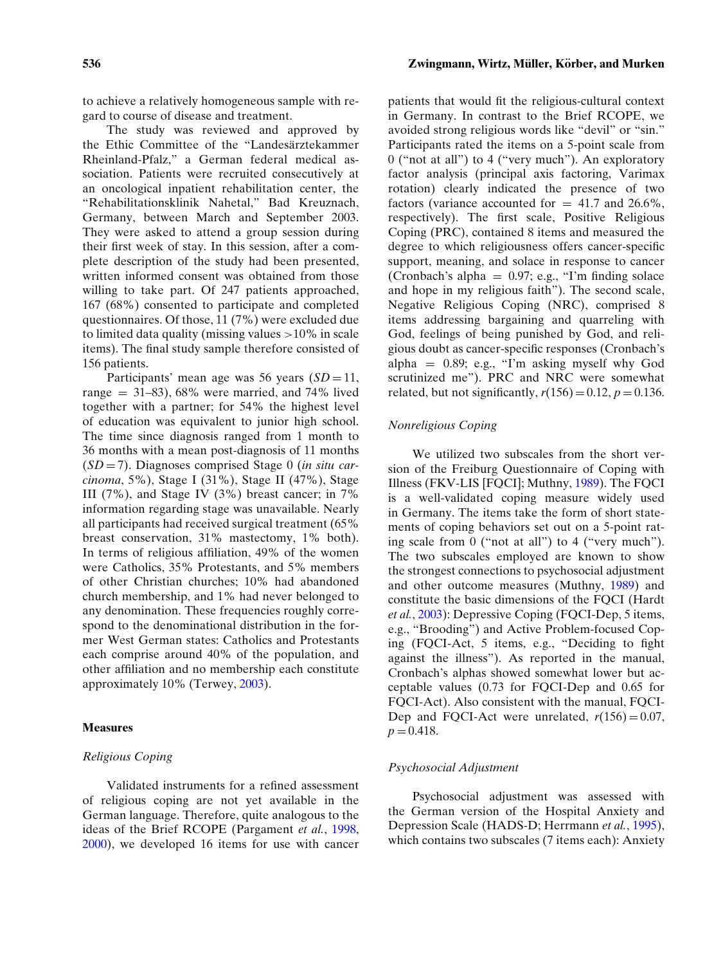to achieve a relatively homogeneous sample with regard to course of disease and treatment.

The study was reviewed and approved by the Ethic Committee of the "Landesärztekammer Rheinland-Pfalz," a German federal medical association. Patients were recruited consecutively at an oncological inpatient rehabilitation center, the "Rehabilitationsklinik Nahetal," Bad Kreuznach, Germany, between March and September 2003. They were asked to attend a group session during their first week of stay. In this session, after a complete description of the study had been presented, written informed consent was obtained from those willing to take part. Of 247 patients approached, 167 (68%) consented to participate and completed questionnaires. Of those, 11 (7%) were excluded due to limited data quality (missing values *>*10% in scale items). The final study sample therefore consisted of 156 patients.

Participants' mean age was 56 years  $(SD = 11$ , range  $= 31-83$ , 68% were married, and 74% lived together with a partner; for 54% the highest level of education was equivalent to junior high school. The time since diagnosis ranged from 1 month to 36 months with a mean post-diagnosis of 11 months (*SD* = 7). Diagnoses comprised Stage 0 (*in situ carcinoma*, 5%), Stage I (31%), Stage II (47%), Stage III (7%), and Stage IV (3%) breast cancer; in 7% information regarding stage was unavailable. Nearly all participants had received surgical treatment (65% breast conservation, 31% mastectomy, 1% both). In terms of religious affiliation, 49% of the women were Catholics, 35% Protestants, and 5% members of other Christian churches; 10% had abandoned church membership, and 1% had never belonged to any denomination. These frequencies roughly correspond to the denominational distribution in the former West German states: Catholics and Protestants each comprise around 40% of the population, and other affiliation and no membership each constitute approximately 10% (Terwey, [2003\)](#page-14-27).

# **Measures**

## *Religious Coping*

Validated instruments for a refined assessment of religious coping are not yet available in the German language. Therefore, quite analogous to the ideas of the Brief RCOPE (Pargament *et al.*, [1998,](#page-14-17) [2000\)](#page-14-18), we developed 16 items for use with cancer patients that would fit the religious-cultural context in Germany. In contrast to the Brief RCOPE, we avoided strong religious words like "devil" or "sin." Participants rated the items on a 5-point scale from 0 ("not at all") to 4 ("very much"). An exploratory factor analysis (principal axis factoring, Varimax rotation) clearly indicated the presence of two factors (variance accounted for  $= 41.7$  and 26.6%, respectively). The first scale, Positive Religious Coping (PRC), contained 8 items and measured the degree to which religiousness offers cancer-specific support, meaning, and solace in response to cancer (Cronbach's alpha =  $0.97$ ; e.g., "I'm finding solace and hope in my religious faith"). The second scale, Negative Religious Coping (NRC), comprised 8 items addressing bargaining and quarreling with God, feelings of being punished by God, and religious doubt as cancer-specific responses (Cronbach's alpha  $= 0.89$ ; e.g., "I'm asking myself why God scrutinized me"). PRC and NRC were somewhat related, but not significantly,  $r(156) = 0.12$ ,  $p = 0.136$ .

## *Nonreligious Coping*

We utilized two subscales from the short version of the Freiburg Questionnaire of Coping with Illness (FKV-LIS [FQCI]; Muthny, [1989\)](#page-14-31). The FQCI is a well-validated coping measure widely used in Germany. The items take the form of short statements of coping behaviors set out on a 5-point rating scale from 0 ("not at all") to 4 ("very much"). The two subscales employed are known to show the strongest connections to psychosocial adjustment and other outcome measures (Muthny, [1989\)](#page-14-31) and constitute the basic dimensions of the FQCI (Hardt *et al.*, [2003\)](#page-13-20): Depressive Coping (FQCI-Dep, 5 items, e.g., "Brooding") and Active Problem-focused Coping (FQCI-Act, 5 items, e.g., "Deciding to fight against the illness"). As reported in the manual, Cronbach's alphas showed somewhat lower but acceptable values (0.73 for FQCI-Dep and 0.65 for FQCI-Act). Also consistent with the manual, FQCI-Dep and FQCI-Act were unrelated,  $r(156) = 0.07$ ,  $p = 0.418$ .

#### *Psychosocial Adjustment*

Psychosocial adjustment was assessed with the German version of the Hospital Anxiety and Depression Scale (HADS-D; Herrmann *et al.*, [1995\)](#page-13-21), which contains two subscales (7 items each): Anxiety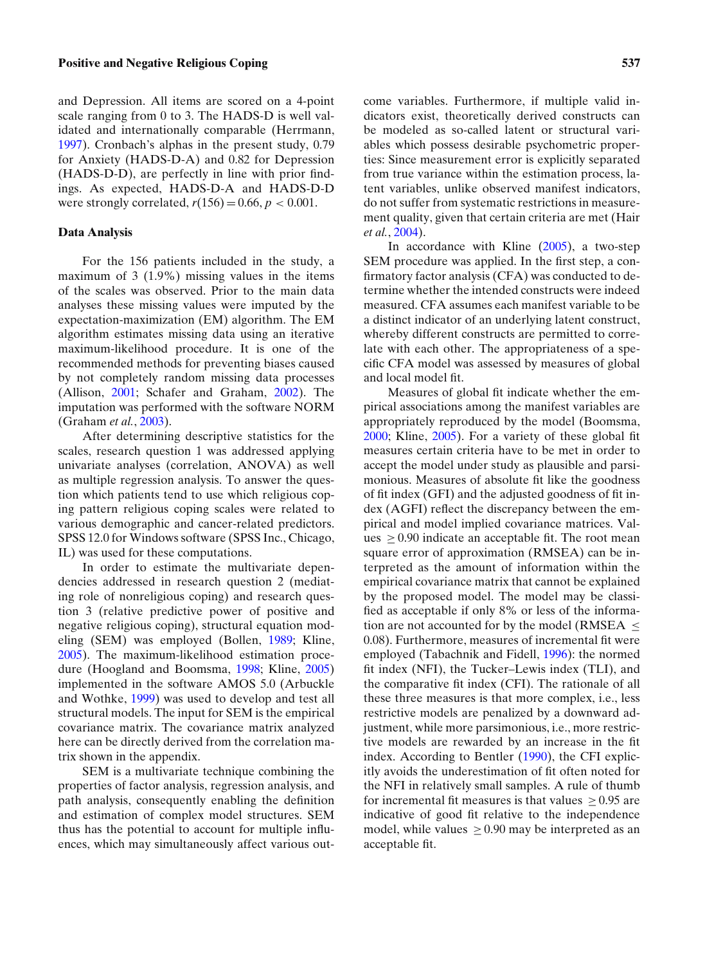## **Positive and Negative Religious Coping 537**

and Depression. All items are scored on a 4-point scale ranging from 0 to 3. The HADS-D is well validated and internationally comparable (Herrmann, [1997\)](#page-13-22). Cronbach's alphas in the present study, 0.79 for Anxiety (HADS-D-A) and 0.82 for Depression (HADS-D-D), are perfectly in line with prior findings. As expected, HADS-D-A and HADS-D-D were strongly correlated,  $r(156) = 0.66$ ,  $p < 0.001$ .

## **Data Analysis**

For the 156 patients included in the study, a maximum of 3 (1.9%) missing values in the items of the scales was observed. Prior to the main data analyses these missing values were imputed by the expectation-maximization (EM) algorithm. The EM algorithm estimates missing data using an iterative maximum-likelihood procedure. It is one of the recommended methods for preventing biases caused by not completely random missing data processes (Allison, [2001;](#page-13-23) Schafer and Graham, [2002\)](#page-14-32). The imputation was performed with the software NORM (Graham *et al.*, [2003\)](#page-13-24).

After determining descriptive statistics for the scales, research question 1 was addressed applying univariate analyses (correlation, ANOVA) as well as multiple regression analysis. To answer the question which patients tend to use which religious coping pattern religious coping scales were related to various demographic and cancer-related predictors. SPSS 12.0 for Windows software (SPSS Inc., Chicago, IL) was used for these computations.

In order to estimate the multivariate dependencies addressed in research question 2 (mediating role of nonreligious coping) and research question 3 (relative predictive power of positive and negative religious coping), structural equation modeling (SEM) was employed (Bollen, [1989;](#page-13-25) Kline, [2005\)](#page-14-33). The maximum-likelihood estimation procedure (Hoogland and Boomsma, [1998;](#page-14-34) Kline, [2005\)](#page-14-33) implemented in the software AMOS 5.0 (Arbuckle and Wothke, [1999\)](#page-13-26) was used to develop and test all structural models. The input for SEM is the empirical covariance matrix. The covariance matrix analyzed here can be directly derived from the correlation matrix shown in the appendix.

SEM is a multivariate technique combining the properties of factor analysis, regression analysis, and path analysis, consequently enabling the definition and estimation of complex model structures. SEM thus has the potential to account for multiple influences, which may simultaneously affect various outcome variables. Furthermore, if multiple valid indicators exist, theoretically derived constructs can be modeled as so-called latent or structural variables which possess desirable psychometric properties: Since measurement error is explicitly separated from true variance within the estimation process, latent variables, unlike observed manifest indicators, do not suffer from systematic restrictions in measurement quality, given that certain criteria are met (Hair *et al.*, [2004\)](#page-13-27).

In accordance with Kline [\(2005\)](#page-14-33), a two-step SEM procedure was applied. In the first step, a confirmatory factor analysis (CFA) was conducted to determine whether the intended constructs were indeed measured. CFA assumes each manifest variable to be a distinct indicator of an underlying latent construct, whereby different constructs are permitted to correlate with each other. The appropriateness of a specific CFA model was assessed by measures of global and local model fit.

Measures of global fit indicate whether the empirical associations among the manifest variables are appropriately reproduced by the model (Boomsma, [2000;](#page-13-28) Kline, [2005\)](#page-14-33). For a variety of these global fit measures certain criteria have to be met in order to accept the model under study as plausible and parsimonious. Measures of absolute fit like the goodness of fit index (GFI) and the adjusted goodness of fit index (AGFI) reflect the discrepancy between the empirical and model implied covariance matrices. Values  $\geq$  0.90 indicate an acceptable fit. The root mean square error of approximation (RMSEA) can be interpreted as the amount of information within the empirical covariance matrix that cannot be explained by the proposed model. The model may be classified as acceptable if only 8% or less of the information are not accounted for by the model (RMSEA ≤ 0.08). Furthermore, measures of incremental fit were employed (Tabachnik and Fidell, [1996\)](#page-14-35): the normed fit index (NFI), the Tucker–Lewis index (TLI), and the comparative fit index (CFI). The rationale of all these three measures is that more complex, i.e., less restrictive models are penalized by a downward adjustment, while more parsimonious, i.e., more restrictive models are rewarded by an increase in the fit index. According to Bentler [\(1990\)](#page-13-29), the CFI explicitly avoids the underestimation of fit often noted for the NFI in relatively small samples. A rule of thumb for incremental fit measures is that values  $> 0.95$  are indicative of good fit relative to the independence model, while values  $> 0.90$  may be interpreted as an acceptable fit.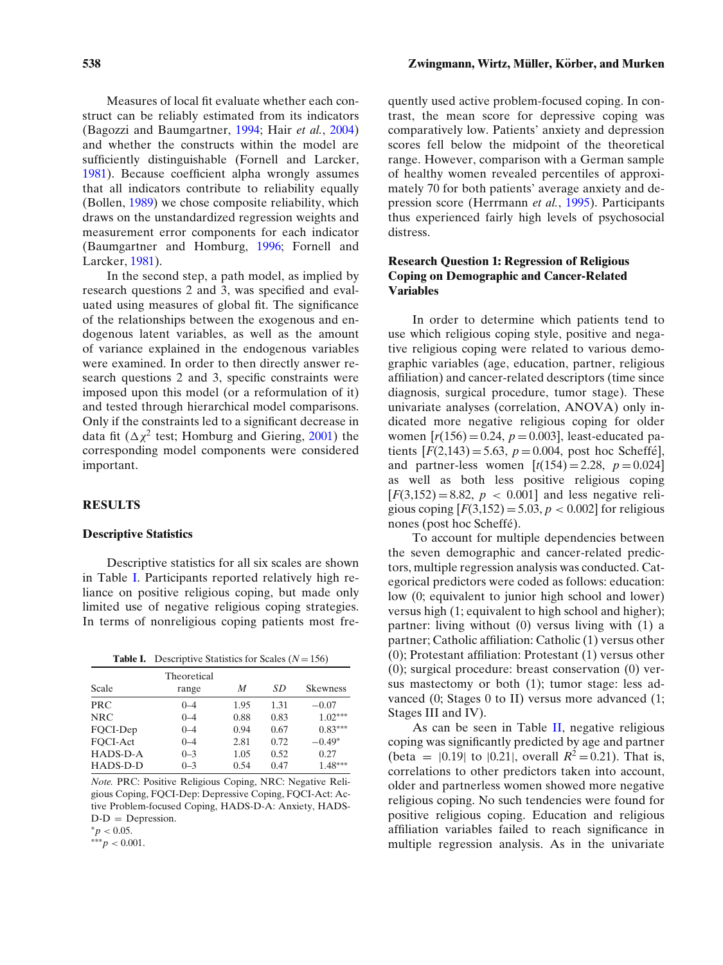#### **538** Zwingmann, Wirtz, Müller, Körber, and Murken

Measures of local fit evaluate whether each construct can be reliably estimated from its indicators (Bagozzi and Baumgartner, [1994;](#page-13-30) Hair *et al.*, [2004\)](#page-13-27) and whether the constructs within the model are sufficiently distinguishable (Fornell and Larcker, [1981\)](#page-13-31). Because coefficient alpha wrongly assumes that all indicators contribute to reliability equally (Bollen, [1989\)](#page-13-25) we chose composite reliability, which draws on the unstandardized regression weights and measurement error components for each indicator (Baumgartner and Homburg, [1996;](#page-13-32) Fornell and Larcker, [1981\)](#page-13-31).

In the second step, a path model, as implied by research questions 2 and 3, was specified and evaluated using measures of global fit. The significance of the relationships between the exogenous and endogenous latent variables, as well as the amount of variance explained in the endogenous variables were examined. In order to then directly answer research questions 2 and 3, specific constraints were imposed upon this model (or a reformulation of it) and tested through hierarchical model comparisons. Only if the constraints led to a significant decrease in data fit  $(\Delta \chi^2$  test; Homburg and Giering, [2001\)](#page-13-33) the corresponding model components were considered important.

#### **RESULTS**

#### **Descriptive Statistics**

Descriptive statistics for all six scales are shown in Table [I.](#page-5-0) Participants reported relatively high reliance on positive religious coping, but made only limited use of negative religious coping strategies. In terms of nonreligious coping patients most fre-

|  |  | <b>Table I.</b> Descriptive Statistics for Scales ( $N = 156$ ) |  |  |  |
|--|--|-----------------------------------------------------------------|--|--|--|
|--|--|-----------------------------------------------------------------|--|--|--|

<span id="page-5-0"></span>

| Scale      | Theoretical<br>range | M    | SD   | <b>Skewness</b> |
|------------|----------------------|------|------|-----------------|
| PRC        | $0 - 4$              | 1.95 | 1.31 | $-0.07$         |
| <b>NRC</b> | $0 - 4$              | 0.88 | 0.83 | $1.02***$       |
| FQCI-Dep   | $0 - 4$              | 0.94 | 0.67 | $0.83***$       |
| FOCI-Act   | $0 - 4$              | 2.81 | 0.72 | $-0.49*$        |
| HADS-D-A   | $0 - 3$              | 1.05 | 0.52 | 0.27            |
| HADS-D-D   | $0 - 3$              | 0.54 | 0.47 | $1.48***$       |

*Note.* PRC: Positive Religious Coping, NRC: Negative Religious Coping, FQCI-Dep: Depressive Coping, FQCI-Act: Active Problem-focused Coping, HADS-D-A: Anxiety, HADS- $D-D =$  Depression.

 ${}^*p$  < 0.05.

∗∗∗*p <* 0.001.

quently used active problem-focused coping. In contrast, the mean score for depressive coping was comparatively low. Patients' anxiety and depression scores fell below the midpoint of the theoretical range. However, comparison with a German sample of healthy women revealed percentiles of approximately 70 for both patients' average anxiety and depression score (Herrmann *et al.*, [1995\)](#page-13-21). Participants thus experienced fairly high levels of psychosocial distress.

# **Research Question 1: Regression of Religious Coping on Demographic and Cancer-Related Variables**

In order to determine which patients tend to use which religious coping style, positive and negative religious coping were related to various demographic variables (age, education, partner, religious affiliation) and cancer-related descriptors (time since diagnosis, surgical procedure, tumor stage). These univariate analyses (correlation, ANOVA) only indicated more negative religious coping for older women  $[r(156) = 0.24, p = 0.003]$ , least-educated patients  $[F(2,143) = 5.63, p = 0.004, \text{post hoc Scheffé}]$ , and partner-less women  $[t(154) = 2.28, p = 0.024]$ as well as both less positive religious coping  $[F(3,152) = 8.82, p < 0.001]$  and less negative religious coping  $[F(3,152) = 5.03, p < 0.002]$  for religious nones (post hoc Scheffé).

To account for multiple dependencies between the seven demographic and cancer-related predictors, multiple regression analysis was conducted. Categorical predictors were coded as follows: education: low (0; equivalent to junior high school and lower) versus high (1; equivalent to high school and higher); partner: living without (0) versus living with (1) a partner; Catholic affiliation: Catholic (1) versus other (0); Protestant affiliation: Protestant (1) versus other (0); surgical procedure: breast conservation (0) versus mastectomy or both (1); tumor stage: less advanced (0; Stages 0 to II) versus more advanced (1; Stages III and IV).

As can be seen in Table [II,](#page-6-0) negative religious coping was significantly predicted by age and partner (beta =  $|0.19|$  to  $|0.21|$ , overall  $R^2 = 0.21$ ). That is, correlations to other predictors taken into account, older and partnerless women showed more negative religious coping. No such tendencies were found for positive religious coping. Education and religious affiliation variables failed to reach significance in multiple regression analysis. As in the univariate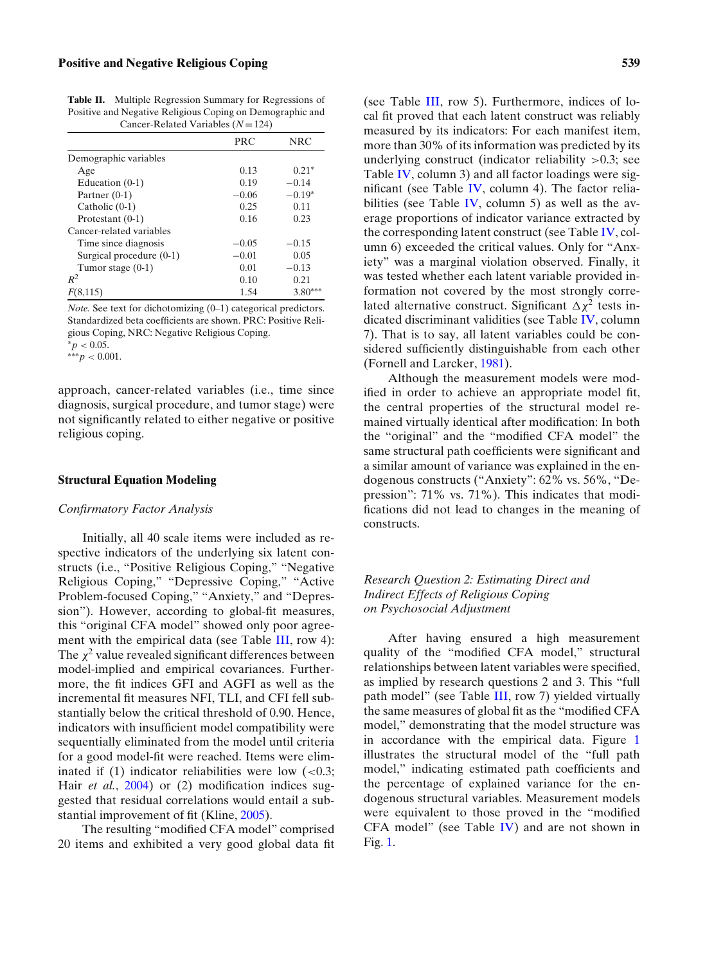<span id="page-6-0"></span>**Table II.** Multiple Regression Summary for Regressions of Positive and Negative Religious Coping on Demographic and Cancer-Related Variables (*N* = 124)

|                            | <b>PRC</b> | <b>NRC</b> |
|----------------------------|------------|------------|
| Demographic variables      |            |            |
| Age                        | 0.13       | $0.21*$    |
| Education $(0-1)$          | 0.19       | $-0.14$    |
| Partner $(0-1)$            | $-0.06$    | $-0.19*$   |
| Catholic $(0-1)$           | 0.25       | 0.11       |
| Protestant $(0-1)$         | 0.16       | 0.23       |
| Cancer-related variables   |            |            |
| Time since diagnosis       | $-0.05$    | $-0.15$    |
| Surgical procedure $(0-1)$ | $-0.01$    | 0.05       |
| Tumor stage $(0-1)$        | 0.01       | $-0.13$    |
| $R^2$                      | 0.10       | 0.21       |
| (8,115)<br>ŀ١              | 1.54       | $3.80***$  |

*Note.* See text for dichotomizing (0–1) categorical predictors. Standardized beta coefficients are shown. PRC: Positive Religious Coping, NRC: Negative Religious Coping.  $p < 0.05$ .

∗∗∗*p <* 0.001.

approach, cancer-related variables (i.e., time since diagnosis, surgical procedure, and tumor stage) were not significantly related to either negative or positive religious coping.

#### **Structural Equation Modeling**

#### *Confirmatory Factor Analysis*

Initially, all 40 scale items were included as respective indicators of the underlying six latent constructs (i.e., "Positive Religious Coping," "Negative Religious Coping," "Depressive Coping," "Active Problem-focused Coping," "Anxiety," and "Depression"). However, according to global-fit measures, this "original CFA model" showed only poor agree-ment with the empirical data (see Table [III,](#page-7-0) row 4): The  $\chi^2$  value revealed significant differences between model-implied and empirical covariances. Furthermore, the fit indices GFI and AGFI as well as the incremental fit measures NFI, TLI, and CFI fell substantially below the critical threshold of 0.90. Hence, indicators with insufficient model compatibility were sequentially eliminated from the model until criteria for a good model-fit were reached. Items were eliminated if (1) indicator reliabilities were low (*<*0.3; Hair *et al.*, [2004\)](#page-13-27) or (2) modification indices suggested that residual correlations would entail a substantial improvement of fit (Kline, [2005\)](#page-14-33).

The resulting "modified CFA model" comprised 20 items and exhibited a very good global data fit

(see Table [III,](#page-7-0) row 5). Furthermore, indices of local fit proved that each latent construct was reliably measured by its indicators: For each manifest item, more than 30% of its information was predicted by its underlying construct (indicator reliability *>*0.3; see Table [IV,](#page-7-1) column 3) and all factor loadings were significant (see Table [IV,](#page-7-1) column 4). The factor relia-bilities (see Table [IV,](#page-7-1) column 5) as well as the average proportions of indicator variance extracted by the corresponding latent construct (see Table [IV,](#page-7-1) column 6) exceeded the critical values. Only for "Anxiety" was a marginal violation observed. Finally, it was tested whether each latent variable provided information not covered by the most strongly correlated alternative construct. Significant  $\Delta \chi^2$  tests indicated discriminant validities (see Table [IV,](#page-7-1) column 7). That is to say, all latent variables could be considered sufficiently distinguishable from each other (Fornell and Larcker, [1981\)](#page-13-31).

Although the measurement models were modified in order to achieve an appropriate model fit, the central properties of the structural model remained virtually identical after modification: In both the "original" and the "modified CFA model" the same structural path coefficients were significant and a similar amount of variance was explained in the endogenous constructs ("Anxiety": 62% vs. 56%, "Depression": 71% vs. 71%). This indicates that modifications did not lead to changes in the meaning of constructs.

# *Research Question 2: Estimating Direct and Indirect Effects of Religious Coping on Psychosocial Adjustment*

After having ensured a high measurement quality of the "modified CFA model," structural relationships between latent variables were specified, as implied by research questions 2 and 3. This "full path model" (see Table [III,](#page-7-0) row 7) yielded virtually the same measures of global fit as the "modified CFA model," demonstrating that the model structure was in accordance with the empirical data. Figure [1](#page-8-0) illustrates the structural model of the "full path model," indicating estimated path coefficients and the percentage of explained variance for the endogenous structural variables. Measurement models were equivalent to those proved in the "modified CFA model" (see Table [IV\)](#page-7-1) and are not shown in Fig. [1.](#page-8-0)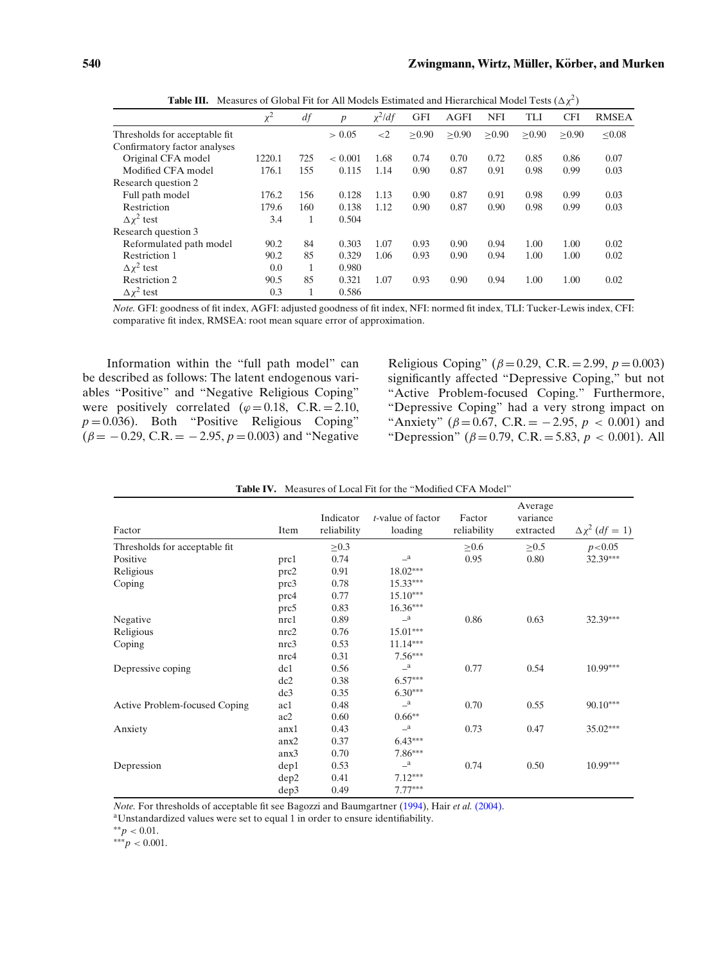<span id="page-7-0"></span>

|                                | $\mu$ and $\mu$ of $\mu$ of $\mu$ and $\mu$ and $\mu$ and $\mu$ and $\mu$ and $\mu$ and $\mu$ and $\mu$ and $\mu$ |     |                  |              |            |        |            |            |            |              |
|--------------------------------|-------------------------------------------------------------------------------------------------------------------|-----|------------------|--------------|------------|--------|------------|------------|------------|--------------|
|                                | $\chi^2$                                                                                                          | df  | $\boldsymbol{p}$ | $\chi^2$ /df | <b>GFI</b> | AGFI   | <b>NFI</b> | <b>TLI</b> | <b>CFI</b> | <b>RMSEA</b> |
| Thresholds for acceptable fit. |                                                                                                                   |     | > 0.05           | $\leq$ 2     | > 0.90     | > 0.90 | > 0.90     | > 0.90     | > 0.90     | < 0.08       |
| Confirmatory factor analyses   |                                                                                                                   |     |                  |              |            |        |            |            |            |              |
| Original CFA model             | 1220.1                                                                                                            | 725 | < 0.001          | 1.68         | 0.74       | 0.70   | 0.72       | 0.85       | 0.86       | 0.07         |
| Modified CFA model             | 176.1                                                                                                             | 155 | 0.115            | 1.14         | 0.90       | 0.87   | 0.91       | 0.98       | 0.99       | 0.03         |
| Research question 2            |                                                                                                                   |     |                  |              |            |        |            |            |            |              |
| Full path model                | 176.2                                                                                                             | 156 | 0.128            | 1.13         | 0.90       | 0.87   | 0.91       | 0.98       | 0.99       | 0.03         |
| Restriction                    | 179.6                                                                                                             | 160 | 0.138            | 1.12         | 0.90       | 0.87   | 0.90       | 0.98       | 0.99       | 0.03         |
| $\Delta x^2$ test              | 3.4                                                                                                               | 1   | 0.504            |              |            |        |            |            |            |              |
| Research question 3            |                                                                                                                   |     |                  |              |            |        |            |            |            |              |
| Reformulated path model        | 90.2                                                                                                              | 84  | 0.303            | 1.07         | 0.93       | 0.90   | 0.94       | 1.00       | 1.00       | 0.02         |
| <b>Restriction 1</b>           | 90.2                                                                                                              | 85  | 0.329            | 1.06         | 0.93       | 0.90   | 0.94       | 1.00       | 1.00       | 0.02         |
| $\Delta x^2$ test              | 0.0                                                                                                               | 1   | 0.980            |              |            |        |            |            |            |              |
| Restriction 2                  | 90.5                                                                                                              | 85  | 0.321            | 1.07         | 0.93       | 0.90   | 0.94       | 1.00       | 1.00       | 0.02         |
| $\Delta x^2$ test              | 0.3                                                                                                               | 1   | 0.586            |              |            |        |            |            |            |              |

**Table III.** Measures of Global Fit for All Models Estimated and Hierarchical Model Tests  $(\Delta \chi^2)$ 

*Note.* GFI: goodness of fit index, AGFI: adjusted goodness of fit index, NFI: normed fit index, TLI: Tucker-Lewis index, CFI: comparative fit index, RMSEA: root mean square error of approximation.

Information within the "full path model" can be described as follows: The latent endogenous variables "Positive" and "Negative Religious Coping" were positively correlated  $(\varphi = 0.18, C.R. = 2.10,$  $p = 0.036$ ). Both "Positive Religious Coping"  $(\beta = -0.29, C.R. = -2.95, p = 0.003)$  and "Negative" Religious Coping" ( $\beta$  = 0.29, C.R. = 2.99,  $p$  = 0.003) significantly affected "Depressive Coping," but not "Active Problem-focused Coping." Furthermore, "Depressive Coping" had a very strong impact on "Anxiety" ( $\beta = 0.67$ , C.R. = -2.95,  $p < 0.001$ ) and "Depression" ( $\beta = 0.79$ , C.R. = 5.83,  $p < 0.001$ ). All

<span id="page-7-1"></span>

| Factor                         | Item | Indicator<br>reliability | <i>t</i> -value of factor<br>loading | Factor<br>reliability | Average<br>variance<br>extracted | $\Delta \chi^2$ (df = 1) |
|--------------------------------|------|--------------------------|--------------------------------------|-----------------------|----------------------------------|--------------------------|
| Thresholds for acceptable fit. |      | $\geq 0.3$               |                                      | $\geq 0.6$            | $\geq 0.5$                       | p < 0.05                 |
| Positive                       | prc1 | 0.74                     | $\mathbf{a}$                         | 0.95                  | 0.80                             | 32.39***                 |
| Religious                      | prc2 | 0.91                     | $18.02***$                           |                       |                                  |                          |
| Coping                         | prc3 | 0.78                     | $15.33***$                           |                       |                                  |                          |
|                                | prc4 | 0.77                     | $15.10***$                           |                       |                                  |                          |
|                                | prc5 | 0.83                     | $16.36***$                           |                       |                                  |                          |
| Negative                       | nrc1 | 0.89                     | $\mathbf{a}$                         | 0.86                  | 0.63                             | 32.39***                 |
| Religious                      | nrc2 | 0.76                     | 15.01***                             |                       |                                  |                          |
| Coping                         | nrc3 | 0.53                     | $11.14***$                           |                       |                                  |                          |
|                                | nrc4 | 0.31                     | $7.56***$                            |                       |                                  |                          |
| Depressive coping              | dc1  | 0.56                     | $\mathbf{a}$                         | 0.77                  | 0.54                             | $10.99***$               |
|                                | dc2  | 0.38                     | $6.57***$                            |                       |                                  |                          |
|                                | dc3  | 0.35                     | $6.30***$                            |                       |                                  |                          |
| Active Problem-focused Coping  | ac1  | 0.48                     | $\mathbf{a}$                         | 0.70                  | 0.55                             | $90.10***$               |
|                                | ac2  | 0.60                     | $0.66**$                             |                       |                                  |                          |
| Anxiety                        | anx1 | 0.43                     | $\mathbf{a}$                         | 0.73                  | 0.47                             | $35.02***$               |
|                                | anx2 | 0.37                     | $6.43***$                            |                       |                                  |                          |
|                                | anx3 | 0.70                     | 7.86***                              |                       |                                  |                          |
| Depression                     | dep1 | 0.53                     | $\mathbf{a}$                         | 0.74                  | 0.50                             | $10.99***$               |
|                                | dep2 | 0.41                     | $7.12***$                            |                       |                                  |                          |
|                                | dep3 | 0.49                     | $7.77***$                            |                       |                                  |                          |

| <b>Table IV.</b> Measures of Local Fit for the "Modified CFA Model" |
|---------------------------------------------------------------------|
|---------------------------------------------------------------------|

*Note.* For thresholds of acceptable fit see Bagozzi and Baumgartner [\(1994\)](#page-13-30), Hair *et al.* [\(2004\).](#page-13-27)

aUnstandardized values were set to equal 1 in order to ensure identifiability.

∗∗*p <* 0.01.

∗∗∗*p <* 0.001.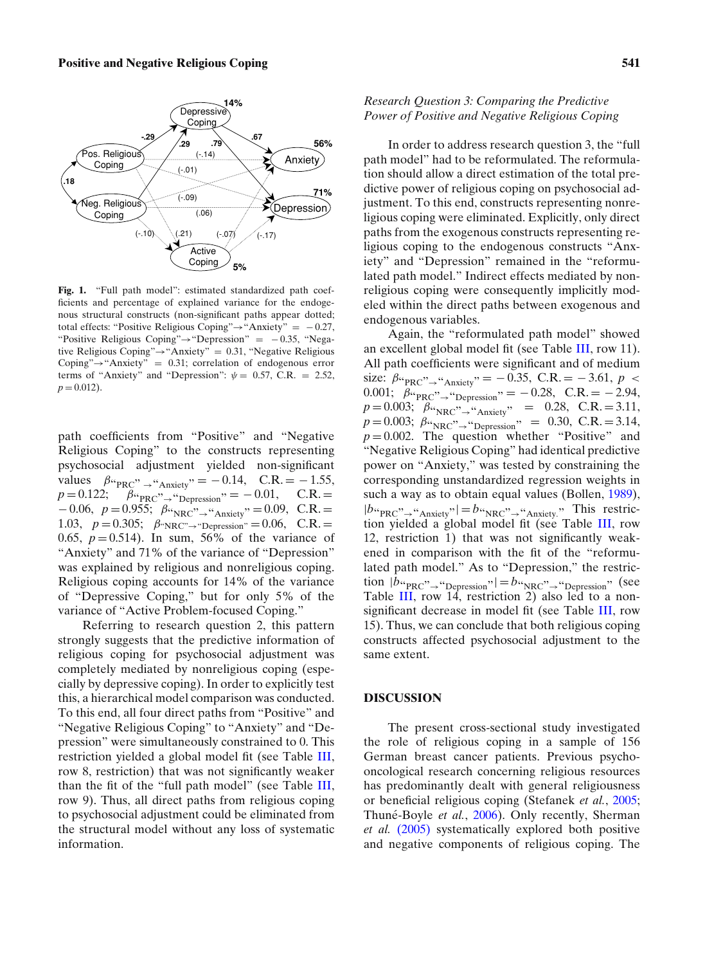<span id="page-8-0"></span>

**Fig. 1.** "Full path model": estimated standardized path coefficients and percentage of explained variance for the endogenous structural constructs (non-significant paths appear dotted; total effects: "Positive Religious Coping" $\rightarrow$  "Anxiety" = -0.27, "Positive Religious Coping"→"Depression" = − 0.35, "Negative Religious Coping"→"Anxiety" = 0.31, "Negative Religious Coping" $\rightarrow$ "Anxiety" = 0.31; correlation of endogenous error terms of "Anxiety" and "Depression":  $\psi = 0.57$ , C.R. = 2.52,  $p = 0.012$ .

path coefficients from "Positive" and "Negative Religious Coping" to the constructs representing psychosocial adjustment yielded non-significant values  $\beta_{\text{``PRC}}$ ,  $\rightarrow$  "Anxiety" = -0.14, C.R. = -1.55,<br>p = 0.122;  $\beta_{\text{``PBC}}$ , "Depression" = -0.01, C.R. =  $\beta_{\text{``PRC}}$ "<sub>→</sub>"Depression</sub>" = -0.01,  $-0.06, p = 0.955$ ;  $\beta_{\text{WRC}}$ ,  $\rightarrow$  "Anxiety" = 0.09, C.R. = 1.03,  $p = 0.305$ ;  $\beta_{\text{``NRC''}\rightarrow \text{``Depression''}} = 0.06$ , C.R. = 0.65,  $p = 0.514$ ). In sum, 56% of the variance of "Anxiety" and 71% of the variance of "Depression" was explained by religious and nonreligious coping. Religious coping accounts for 14% of the variance of "Depressive Coping," but for only 5% of the variance of "Active Problem-focused Coping."

Referring to research question 2, this pattern strongly suggests that the predictive information of religious coping for psychosocial adjustment was completely mediated by nonreligious coping (especially by depressive coping). In order to explicitly test this, a hierarchical model comparison was conducted. To this end, all four direct paths from "Positive" and "Negative Religious Coping" to "Anxiety" and "Depression" were simultaneously constrained to 0. This restriction yielded a global model fit (see Table [III,](#page-7-0) row 8, restriction) that was not significantly weaker than the fit of the "full path model" (see Table [III,](#page-7-0) row 9). Thus, all direct paths from religious coping to psychosocial adjustment could be eliminated from the structural model without any loss of systematic information.

# *Research Question 3: Comparing the Predictive Power of Positive and Negative Religious Coping*

In order to address research question 3, the "full path model" had to be reformulated. The reformulation should allow a direct estimation of the total predictive power of religious coping on psychosocial adjustment. To this end, constructs representing nonreligious coping were eliminated. Explicitly, only direct paths from the exogenous constructs representing religious coping to the endogenous constructs "Anxiety" and "Depression" remained in the "reformulated path model." Indirect effects mediated by nonreligious coping were consequently implicitly modeled within the direct paths between exogenous and endogenous variables.

Again, the "reformulated path model" showed an excellent global model fit (see Table [III,](#page-7-0) row 11). All path coefficients were significant and of medium size:  $\beta_{\text{PRC}}$ "<sub>→</sub>"<sub>Anxiety</sub>" = -0.35, C.R. = -3.61, *p* < 0.001;  $\beta_{\text{PRC}}$ " $\rightarrow$ "Depression" = -0.28, C.R. = -2.94,  $p = 0.003; \ \beta \omega_{\text{NRC}} \rightarrow \omega_{\text{Anxiety}}$ " = 0.28, C.R. = 3.11,  $p = 0.003$ ;  $\beta_{\text{W}}$ <sub>NRC</sub>"<sub>→</sub>"<sub>Depression</sub>" = 0.30, C.R. = 3.14,  $p = 0.002$ . The question whether "Positive" and "Negative Religious Coping" had identical predictive power on "Anxiety," was tested by constraining the corresponding unstandardized regression weights in such a way as to obtain equal values (Bollen, [1989\)](#page-13-25),  $|b_{\text{PRC}}{\sim}$ <sup>"</sup>Anxiety" =  $b_{\text{WRC}}{\sim}$  "Anxiety<sub>2</sub>" This restriction yielded a global model fit (see Table [III,](#page-7-0) row 12, restriction 1) that was not significantly weakened in comparison with the fit of the "reformulated path model." As to "Depression," the restriction  $|b_{\text{H}}|_{\text{PRC}}$ , " $\rightarrow$ "Depression"  $| = b_{\text{H}}|_{\text{NRC}}$ , "Depression" (see Table [III,](#page-7-0) row 14, restriction 2) also led to a nonsignificant decrease in model fit (see Table [III,](#page-7-0) row 15). Thus, we can conclude that both religious coping constructs affected psychosocial adjustment to the same extent.

#### **DISCUSSION**

The present cross-sectional study investigated the role of religious coping in a sample of 156 German breast cancer patients. Previous psychooncological research concerning religious resources has predominantly dealt with general religiousness or beneficial religious coping (Stefanek *et al.*, [2005;](#page-14-7) Thuné-Boyle et al., [2006\)](#page-14-21). Only recently, Sherman *et al.* [\(2005\)](#page-14-22) systematically explored both positive and negative components of religious coping. The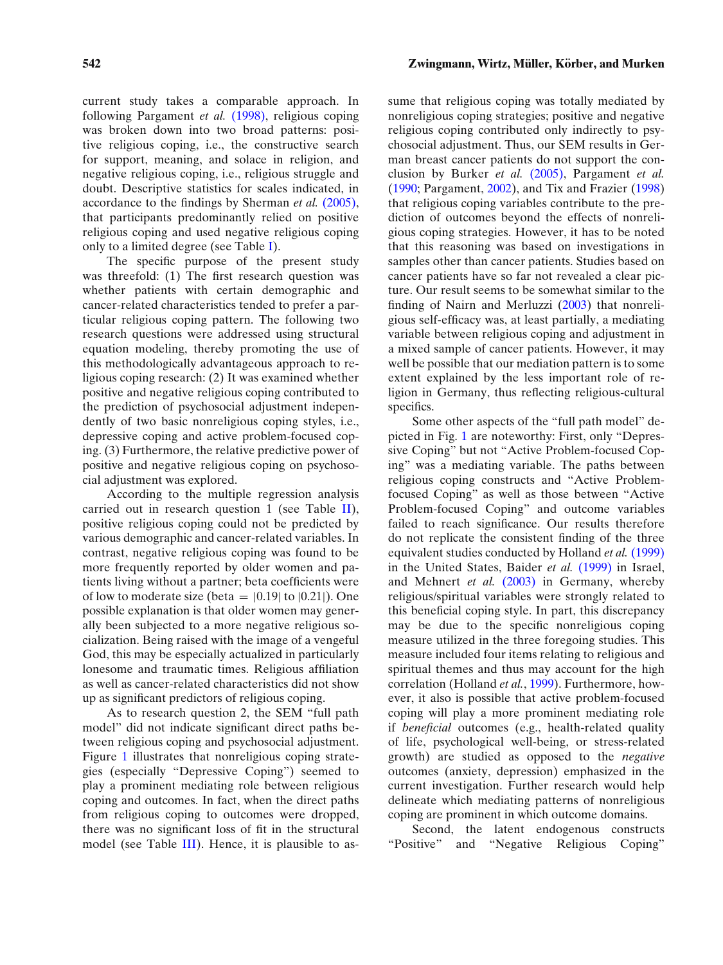current study takes a comparable approach. In following Pargament *et al.* [\(1998\),](#page-14-17) religious coping was broken down into two broad patterns: positive religious coping, i.e., the constructive search for support, meaning, and solace in religion, and negative religious coping, i.e., religious struggle and doubt. Descriptive statistics for scales indicated, in accordance to the findings by Sherman *et al.* [\(2005\),](#page-14-22) that participants predominantly relied on positive religious coping and used negative religious coping only to a limited degree (see Table [I\)](#page-5-0).

The specific purpose of the present study was threefold: (1) The first research question was whether patients with certain demographic and cancer-related characteristics tended to prefer a particular religious coping pattern. The following two research questions were addressed using structural equation modeling, thereby promoting the use of this methodologically advantageous approach to religious coping research: (2) It was examined whether positive and negative religious coping contributed to the prediction of psychosocial adjustment independently of two basic nonreligious coping styles, i.e., depressive coping and active problem-focused coping. (3) Furthermore, the relative predictive power of positive and negative religious coping on psychosocial adjustment was explored.

According to the multiple regression analysis carried out in research question 1 (see Table [II\)](#page-6-0), positive religious coping could not be predicted by various demographic and cancer-related variables. In contrast, negative religious coping was found to be more frequently reported by older women and patients living without a partner; beta coefficients were of low to moderate size (beta =  $|0.19|$  to  $|0.21|$ ). One possible explanation is that older women may generally been subjected to a more negative religious socialization. Being raised with the image of a vengeful God, this may be especially actualized in particularly lonesome and traumatic times. Religious affiliation as well as cancer-related characteristics did not show up as significant predictors of religious coping.

As to research question 2, the SEM "full path model" did not indicate significant direct paths between religious coping and psychosocial adjustment. Figure [1](#page-8-0) illustrates that nonreligious coping strategies (especially "Depressive Coping") seemed to play a prominent mediating role between religious coping and outcomes. In fact, when the direct paths from religious coping to outcomes were dropped, there was no significant loss of fit in the structural model (see Table [III\)](#page-7-0). Hence, it is plausible to assume that religious coping was totally mediated by nonreligious coping strategies; positive and negative religious coping contributed only indirectly to psychosocial adjustment. Thus, our SEM results in German breast cancer patients do not support the conclusion by Burker *et al.* [\(2005\),](#page-13-14) Pargament *et al.* [\(1990;](#page-14-15) Pargament, [2002\)](#page-14-25), and Tix and Frazier [\(1998\)](#page-14-24) that religious coping variables contribute to the prediction of outcomes beyond the effects of nonreligious coping strategies. However, it has to be noted that this reasoning was based on investigations in samples other than cancer patients. Studies based on cancer patients have so far not revealed a clear picture. Our result seems to be somewhat similar to the finding of Nairn and Merluzzi [\(2003\)](#page-14-19) that nonreligious self-efficacy was, at least partially, a mediating variable between religious coping and adjustment in a mixed sample of cancer patients. However, it may well be possible that our mediation pattern is to some extent explained by the less important role of religion in Germany, thus reflecting religious-cultural specifics.

Some other aspects of the "full path model" depicted in Fig. [1](#page-8-0) are noteworthy: First, only "Depressive Coping" but not "Active Problem-focused Coping" was a mediating variable. The paths between religious coping constructs and "Active Problemfocused Coping" as well as those between "Active Problem-focused Coping" and outcome variables failed to reach significance. Our results therefore do not replicate the consistent finding of the three equivalent studies conducted by Holland *et al.* [\(1999\)](#page-13-9) in the United States, Baider *et al.* [\(1999\)](#page-13-4) in Israel, and Mehnert *et al.* [\(2003\)](#page-14-8) in Germany, whereby religious/spiritual variables were strongly related to this beneficial coping style. In part, this discrepancy may be due to the specific nonreligious coping measure utilized in the three foregoing studies. This measure included four items relating to religious and spiritual themes and thus may account for the high correlation (Holland *et al.*, [1999\)](#page-13-9). Furthermore, however, it also is possible that active problem-focused coping will play a more prominent mediating role if *beneficial* outcomes (e.g., health-related quality of life, psychological well-being, or stress-related growth) are studied as opposed to the *negative* outcomes (anxiety, depression) emphasized in the current investigation. Further research would help delineate which mediating patterns of nonreligious coping are prominent in which outcome domains.

Second, the latent endogenous constructs "Positive" and "Negative Religious Coping"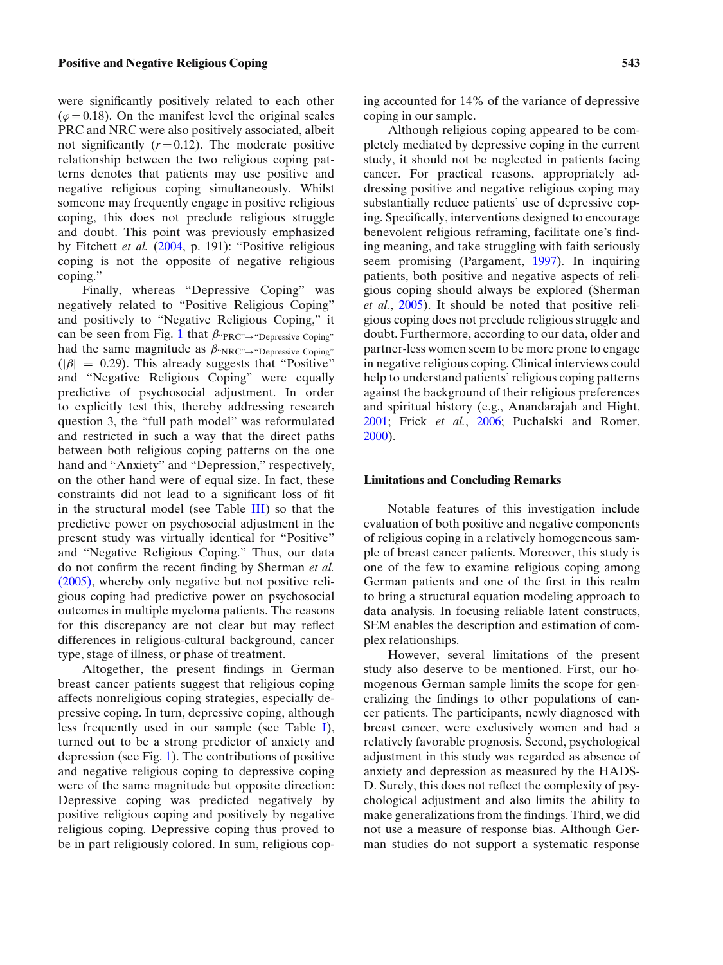#### **Positive and Negative Religious Coping 543**

were significantly positively related to each other  $(\varphi = 0.18)$ . On the manifest level the original scales PRC and NRC were also positively associated, albeit not significantly  $(r=0.12)$ . The moderate positive relationship between the two religious coping patterns denotes that patients may use positive and negative religious coping simultaneously. Whilst someone may frequently engage in positive religious coping, this does not preclude religious struggle and doubt. This point was previously emphasized by Fitchett *et al.* [\(2004,](#page-13-34) p. 191): "Positive religious coping is not the opposite of negative religious coping."

Finally, whereas "Depressive Coping" was negatively related to "Positive Religious Coping" and positively to "Negative Religious Coping," it can be seen from Fig. [1](#page-8-0) that  $\beta_{\text{PRC}} \rightarrow \text{Pepressive Coping}$ " had the same magnitude as  $\beta_{\text{NRC}} \rightarrow \text{Depressive Coping}$ "  $(|\beta| = 0.29)$ . This already suggests that "Positive" and "Negative Religious Coping" were equally predictive of psychosocial adjustment. In order to explicitly test this, thereby addressing research question 3, the "full path model" was reformulated and restricted in such a way that the direct paths between both religious coping patterns on the one hand and "Anxiety" and "Depression," respectively, on the other hand were of equal size. In fact, these constraints did not lead to a significant loss of fit in the structural model (see Table [III\)](#page-7-0) so that the predictive power on psychosocial adjustment in the present study was virtually identical for "Positive" and "Negative Religious Coping." Thus, our data do not confirm the recent finding by Sherman *et al.* [\(2005\),](#page-14-22) whereby only negative but not positive religious coping had predictive power on psychosocial outcomes in multiple myeloma patients. The reasons for this discrepancy are not clear but may reflect differences in religious-cultural background, cancer type, stage of illness, or phase of treatment.

Altogether, the present findings in German breast cancer patients suggest that religious coping affects nonreligious coping strategies, especially depressive coping. In turn, depressive coping, although less frequently used in our sample (see Table [I\)](#page-5-0), turned out to be a strong predictor of anxiety and depression (see Fig. [1\)](#page-8-0). The contributions of positive and negative religious coping to depressive coping were of the same magnitude but opposite direction: Depressive coping was predicted negatively by positive religious coping and positively by negative religious coping. Depressive coping thus proved to be in part religiously colored. In sum, religious coping accounted for 14% of the variance of depressive coping in our sample.

Although religious coping appeared to be completely mediated by depressive coping in the current study, it should not be neglected in patients facing cancer. For practical reasons, appropriately addressing positive and negative religious coping may substantially reduce patients' use of depressive coping. Specifically, interventions designed to encourage benevolent religious reframing, facilitate one's finding meaning, and take struggling with faith seriously seem promising (Pargament, [1997\)](#page-14-13). In inquiring patients, both positive and negative aspects of religious coping should always be explored (Sherman *et al.*, [2005\)](#page-14-22). It should be noted that positive religious coping does not preclude religious struggle and doubt. Furthermore, according to our data, older and partner-less women seem to be more prone to engage in negative religious coping. Clinical interviews could help to understand patients' religious coping patterns against the background of their religious preferences and spiritual history (e.g., Anandarajah and Hight, [2001;](#page-13-35) Frick *et al.*, [2006;](#page-13-16) Puchalski and Romer, [2000\)](#page-14-36).

#### **Limitations and Concluding Remarks**

Notable features of this investigation include evaluation of both positive and negative components of religious coping in a relatively homogeneous sample of breast cancer patients. Moreover, this study is one of the few to examine religious coping among German patients and one of the first in this realm to bring a structural equation modeling approach to data analysis. In focusing reliable latent constructs, SEM enables the description and estimation of complex relationships.

However, several limitations of the present study also deserve to be mentioned. First, our homogenous German sample limits the scope for generalizing the findings to other populations of cancer patients. The participants, newly diagnosed with breast cancer, were exclusively women and had a relatively favorable prognosis. Second, psychological adjustment in this study was regarded as absence of anxiety and depression as measured by the HADS-D. Surely, this does not reflect the complexity of psychological adjustment and also limits the ability to make generalizations from the findings. Third, we did not use a measure of response bias. Although German studies do not support a systematic response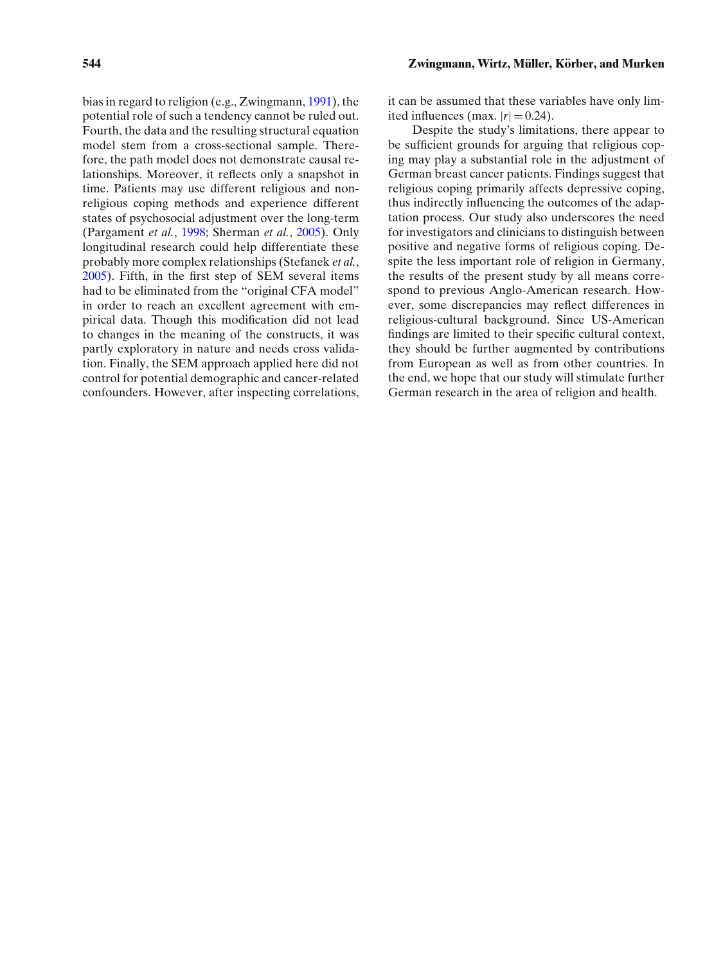bias in regard to religion (e.g., Zwingmann, [1991\)](#page-14-37), the potential role of such a tendency cannot be ruled out. Fourth, the data and the resulting structural equation model stem from a cross-sectional sample. Therefore, the path model does not demonstrate causal relationships. Moreover, it reflects only a snapshot in time. Patients may use different religious and nonreligious coping methods and experience different states of psychosocial adjustment over the long-term (Pargament *et al.*, [1998;](#page-14-17) Sherman *et al.*, [2005\)](#page-14-22). Only longitudinal research could help differentiate these probably more complex relationships (Stefanek *et al.*, [2005\)](#page-14-7). Fifth, in the first step of SEM several items had to be eliminated from the "original CFA model" in order to reach an excellent agreement with empirical data. Though this modification did not lead to changes in the meaning of the constructs, it was partly exploratory in nature and needs cross validation. Finally, the SEM approach applied here did not control for potential demographic and cancer-related confounders. However, after inspecting correlations, it can be assumed that these variables have only limited influences (max.  $|r| = 0.24$ ).

Despite the study's limitations, there appear to be sufficient grounds for arguing that religious coping may play a substantial role in the adjustment of German breast cancer patients. Findings suggest that religious coping primarily affects depressive coping, thus indirectly influencing the outcomes of the adaptation process. Our study also underscores the need for investigators and clinicians to distinguish between positive and negative forms of religious coping. Despite the less important role of religion in Germany, the results of the present study by all means correspond to previous Anglo-American research. However, some discrepancies may reflect differences in religious-cultural background. Since US-American findings are limited to their specific cultural context, they should be further augmented by contributions from European as well as from other countries. In the end, we hope that our study will stimulate further German research in the area of religion and health.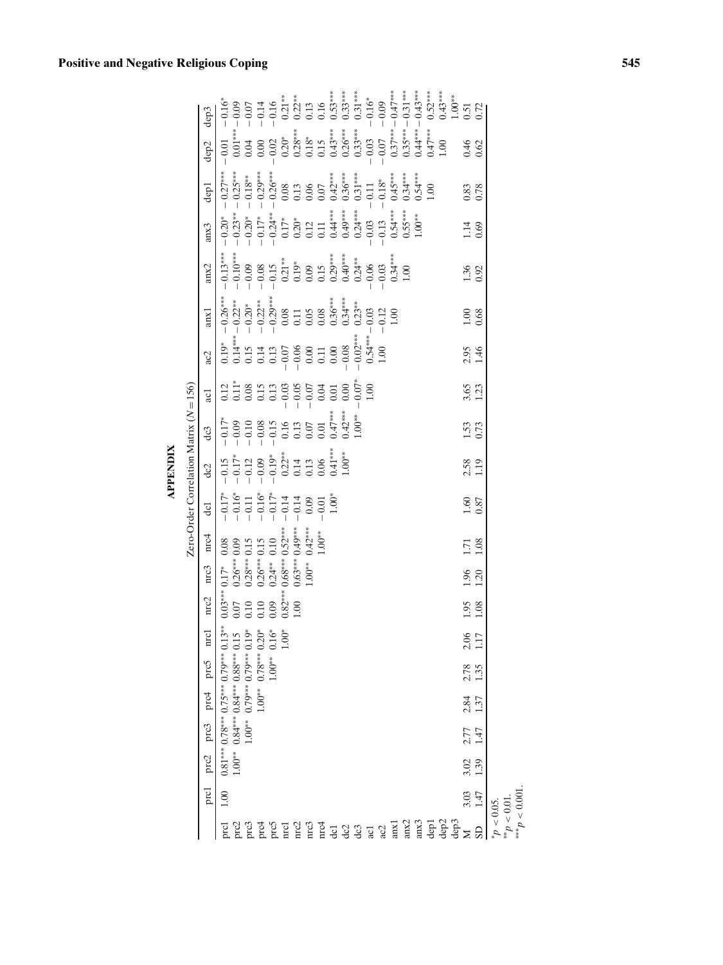| <b>Positive and Negative Religious Coping</b> |  |
|-----------------------------------------------|--|
|                                               |  |

**APPENDIX**

**APPENDIX** 

|                                  |      |                  |                |                |              |                   |               |                                    |                                                                                                               |                         | Zero-Order Correlation Matrix $(N = 156)$                                                                                                                        |                                                                                                                                                      |                |                                                                                                                                                                                                                                                                                                               |                                                                                                                                                                                                                                                                                                                      |                                                                                                                                                                                                                                                                                                                                    |                                                                                                                                                                                                                                                                                                                              |      |                                                                                                                                                                                                                                                                                                                                                   |                                                                                                                                                                                                                                                                                                                                             |
|----------------------------------|------|------------------|----------------|----------------|--------------|-------------------|---------------|------------------------------------|---------------------------------------------------------------------------------------------------------------|-------------------------|------------------------------------------------------------------------------------------------------------------------------------------------------------------|------------------------------------------------------------------------------------------------------------------------------------------------------|----------------|---------------------------------------------------------------------------------------------------------------------------------------------------------------------------------------------------------------------------------------------------------------------------------------------------------------|----------------------------------------------------------------------------------------------------------------------------------------------------------------------------------------------------------------------------------------------------------------------------------------------------------------------|------------------------------------------------------------------------------------------------------------------------------------------------------------------------------------------------------------------------------------------------------------------------------------------------------------------------------------|------------------------------------------------------------------------------------------------------------------------------------------------------------------------------------------------------------------------------------------------------------------------------------------------------------------------------|------|---------------------------------------------------------------------------------------------------------------------------------------------------------------------------------------------------------------------------------------------------------------------------------------------------------------------------------------------------|---------------------------------------------------------------------------------------------------------------------------------------------------------------------------------------------------------------------------------------------------------------------------------------------------------------------------------------------|
|                                  | prc1 | prc2             | prc3           | prc4           | prc5         | $_{\mathrm{mcl}}$ | nrc2          | nrc3                               | nrc4                                                                                                          | $\overline{\mathsf{d}}$ | dc2                                                                                                                                                              | dc3                                                                                                                                                  | acl            | ac2                                                                                                                                                                                                                                                                                                           | anx1                                                                                                                                                                                                                                                                                                                 | ans2                                                                                                                                                                                                                                                                                                                               | anx3                                                                                                                                                                                                                                                                                                                         | dep1 | dep2                                                                                                                                                                                                                                                                                                                                              | dep3                                                                                                                                                                                                                                                                                                                                        |
| prc1                             | 1.00 |                  |                |                |              |                   |               |                                    | * $0.03***0.17*$<br>$0.07$ 0.26*** 0<br>$0.07$ 0.26*** 0.1:<br>10 0.28*** 0.1:<br>0.26*** 0.15<br>0.24** 0.10 |                         |                                                                                                                                                                  |                                                                                                                                                      |                |                                                                                                                                                                                                                                                                                                               |                                                                                                                                                                                                                                                                                                                      |                                                                                                                                                                                                                                                                                                                                    |                                                                                                                                                                                                                                                                                                                              |      |                                                                                                                                                                                                                                                                                                                                                   |                                                                                                                                                                                                                                                                                                                                             |
|                                  |      |                  |                |                |              |                   |               |                                    |                                                                                                               |                         | $\begin{array}{r} -0.15 \\ -0.17^* \\ -0.12 \\ -0.09 \\ -0.09 \\ -0.01 \\ -0.01 \\ 0.01 \\ -0.01 \\ 0.06 \\ -0.06 \\ 0.06^* \\ 0.07^* \\ -1.00^{**} \end{array}$ | $\begin{array}{r} -0.17^* \\ -0.09 \\ -0.008 \\ -0.08 \\ -0.05 \\ -0.05 \\ -0.01 \\ -0.01 \\ 0.01 \\ -0.01 \\ 0.47^{**} \\ 0.47^{**} \\ \end{array}$ |                | $\begin{array}{l} 0.15 \\ 0.14 \\ 0.14 \\ 0.13 \\ 0.00 \\ 0.00 \\ 0.00 \\ 0.00 \\ 0.00 \\ 0.00 \\ 0.00 \\ 0.00 \\ 0.00 \\ 0.00 \\ 0.00 \\ 0.00 \\ 0.00 \\ 0.00 \\ 0.00 \\ 0.00 \\ 0.00 \\ 0.00 \\ 0.00 \\ 0.00 \\ 0.00 \\ 0.00 \\ 0.00 \\ 0.00 \\ 0.00 \\ 0.00 \\ 0.00 \\ 0.00 \\ 0.00 \\ 0.00 \\ 0.00 \\ 0.$ | $\begin{array}{l} \left( \begin{array}{l} \gamma_{31}^{*} \\ 0.012 \\ 0.012 \\ 0.012 \\ 0.012 \\ 0.012 \\ 0.001 \\ 0.001 \\ 0.001 \\ 0.001 \\ 0.001 \\ 0.001 \\ 0.001 \\ 0.001 \\ 0.001 \\ 0.001 \\ 0.001 \\ 0.001 \\ 0.001 \\ 0.001 \\ 0.001 \\ 0.001 \\ 0.001 \\ 0.001 \\ 0.001 \\ 0.001 \\ 0.001 \\ 0.001 \\ 0.0$ | $\begin{array}{l} 1.3^{**} \\ - 0.10^{**} \\ - 0.09 \\ - 0.08 \\ - 0.08 \\ - 0.15 \\ - 0.09 \\ - 0.09 \\ - 0.09 \\ - 0.09 \\ - 0.09 \\ - 0.09 \\ - 0.09 \\ - 0.00 \\ - 0.00 \\ - 0.03 \\ - 0.03 \\ - 0.03 \\ - 0.03 \\ - 0.03 \\ - 0.03 \\ - 0.03 \\ - 0.03 \\ - 0.03 \\ - 0.03 \\ - 0.03 \\ - 0.03 \\ - 0.03 \\ - 0.03 \\ - 0.03$ | $\begin{array}{l} 22^*\\ -\\ 0\\ 23^*\\ -\\ 0\\ -\\ 0\\ 1\\ -\\ 0\\ 2\\ 4^*\\ -\\ 0\\ 2^*\\ -\\ 0\\ 2^*\\ 2^*\\ -\\ 0\\ 2^*\\ -\\ 0\\ 2^*\\ -\\ 0\\ 2^*\\ -\\ 0\\ 2^*\\ -\\ 0\\ 2^*\\ -\\ 0\\ 2^*\\ -\\ 0\\ 2^*\\ -\\ 0\\ 2^*\\ -\\ 0\\ 2^*\\ -\\ 0\\ 2^*\\ -\\ 0\\ 2^*\\ -\\ 0\\ 2^*\\ -\\ 0\\ 2^*\\ -\\ 0\\ 2^*\\ -\\ 0\\$ |      |                                                                                                                                                                                                                                                                                                                                                   |                                                                                                                                                                                                                                                                                                                                             |
|                                  |      |                  |                |                |              |                   |               |                                    |                                                                                                               |                         |                                                                                                                                                                  |                                                                                                                                                      |                |                                                                                                                                                                                                                                                                                                               |                                                                                                                                                                                                                                                                                                                      |                                                                                                                                                                                                                                                                                                                                    |                                                                                                                                                                                                                                                                                                                              |      |                                                                                                                                                                                                                                                                                                                                                   |                                                                                                                                                                                                                                                                                                                                             |
|                                  |      |                  |                |                |              |                   |               |                                    |                                                                                                               |                         |                                                                                                                                                                  |                                                                                                                                                      |                |                                                                                                                                                                                                                                                                                                               |                                                                                                                                                                                                                                                                                                                      |                                                                                                                                                                                                                                                                                                                                    |                                                                                                                                                                                                                                                                                                                              |      |                                                                                                                                                                                                                                                                                                                                                   |                                                                                                                                                                                                                                                                                                                                             |
|                                  |      |                  |                |                |              |                   |               |                                    |                                                                                                               |                         |                                                                                                                                                                  |                                                                                                                                                      |                |                                                                                                                                                                                                                                                                                                               |                                                                                                                                                                                                                                                                                                                      |                                                                                                                                                                                                                                                                                                                                    |                                                                                                                                                                                                                                                                                                                              |      |                                                                                                                                                                                                                                                                                                                                                   |                                                                                                                                                                                                                                                                                                                                             |
|                                  |      |                  |                |                |              |                   | $0.82**$      | $0.68***$<br>$0.63***$<br>$1.00**$ | $*0.52***$                                                                                                    |                         |                                                                                                                                                                  |                                                                                                                                                      |                |                                                                                                                                                                                                                                                                                                               |                                                                                                                                                                                                                                                                                                                      |                                                                                                                                                                                                                                                                                                                                    |                                                                                                                                                                                                                                                                                                                              |      |                                                                                                                                                                                                                                                                                                                                                   |                                                                                                                                                                                                                                                                                                                                             |
|                                  |      |                  |                |                |              |                   | 1.00          |                                    |                                                                                                               |                         |                                                                                                                                                                  |                                                                                                                                                      |                |                                                                                                                                                                                                                                                                                                               |                                                                                                                                                                                                                                                                                                                      |                                                                                                                                                                                                                                                                                                                                    |                                                                                                                                                                                                                                                                                                                              |      |                                                                                                                                                                                                                                                                                                                                                   |                                                                                                                                                                                                                                                                                                                                             |
|                                  |      |                  |                |                |              |                   |               |                                    | $0.49***$<br>$0.42***$<br>$1.00**$                                                                            |                         |                                                                                                                                                                  |                                                                                                                                                      |                |                                                                                                                                                                                                                                                                                                               |                                                                                                                                                                                                                                                                                                                      |                                                                                                                                                                                                                                                                                                                                    |                                                                                                                                                                                                                                                                                                                              |      |                                                                                                                                                                                                                                                                                                                                                   |                                                                                                                                                                                                                                                                                                                                             |
|                                  |      |                  |                |                |              |                   |               |                                    |                                                                                                               |                         |                                                                                                                                                                  |                                                                                                                                                      |                |                                                                                                                                                                                                                                                                                                               |                                                                                                                                                                                                                                                                                                                      |                                                                                                                                                                                                                                                                                                                                    |                                                                                                                                                                                                                                                                                                                              |      |                                                                                                                                                                                                                                                                                                                                                   |                                                                                                                                                                                                                                                                                                                                             |
|                                  |      |                  |                |                |              |                   |               |                                    |                                                                                                               | 00:1                    |                                                                                                                                                                  |                                                                                                                                                      |                |                                                                                                                                                                                                                                                                                                               |                                                                                                                                                                                                                                                                                                                      |                                                                                                                                                                                                                                                                                                                                    |                                                                                                                                                                                                                                                                                                                              |      |                                                                                                                                                                                                                                                                                                                                                   |                                                                                                                                                                                                                                                                                                                                             |
|                                  |      |                  |                |                |              |                   |               |                                    |                                                                                                               |                         |                                                                                                                                                                  | $0.42***$<br>$1.00***$                                                                                                                               |                |                                                                                                                                                                                                                                                                                                               |                                                                                                                                                                                                                                                                                                                      |                                                                                                                                                                                                                                                                                                                                    |                                                                                                                                                                                                                                                                                                                              |      |                                                                                                                                                                                                                                                                                                                                                   |                                                                                                                                                                                                                                                                                                                                             |
|                                  |      |                  |                |                |              |                   |               |                                    |                                                                                                               |                         |                                                                                                                                                                  |                                                                                                                                                      |                |                                                                                                                                                                                                                                                                                                               |                                                                                                                                                                                                                                                                                                                      |                                                                                                                                                                                                                                                                                                                                    |                                                                                                                                                                                                                                                                                                                              |      |                                                                                                                                                                                                                                                                                                                                                   |                                                                                                                                                                                                                                                                                                                                             |
|                                  |      |                  |                |                |              |                   |               |                                    |                                                                                                               |                         |                                                                                                                                                                  |                                                                                                                                                      |                |                                                                                                                                                                                                                                                                                                               |                                                                                                                                                                                                                                                                                                                      |                                                                                                                                                                                                                                                                                                                                    |                                                                                                                                                                                                                                                                                                                              |      |                                                                                                                                                                                                                                                                                                                                                   |                                                                                                                                                                                                                                                                                                                                             |
|                                  |      |                  |                |                |              |                   |               |                                    |                                                                                                               |                         |                                                                                                                                                                  |                                                                                                                                                      |                | 1.00                                                                                                                                                                                                                                                                                                          |                                                                                                                                                                                                                                                                                                                      |                                                                                                                                                                                                                                                                                                                                    |                                                                                                                                                                                                                                                                                                                              |      |                                                                                                                                                                                                                                                                                                                                                   |                                                                                                                                                                                                                                                                                                                                             |
|                                  |      |                  |                |                |              |                   |               |                                    |                                                                                                               |                         |                                                                                                                                                                  |                                                                                                                                                      |                |                                                                                                                                                                                                                                                                                                               |                                                                                                                                                                                                                                                                                                                      |                                                                                                                                                                                                                                                                                                                                    |                                                                                                                                                                                                                                                                                                                              |      |                                                                                                                                                                                                                                                                                                                                                   |                                                                                                                                                                                                                                                                                                                                             |
|                                  |      |                  |                |                |              |                   |               |                                    |                                                                                                               |                         |                                                                                                                                                                  |                                                                                                                                                      |                |                                                                                                                                                                                                                                                                                                               |                                                                                                                                                                                                                                                                                                                      |                                                                                                                                                                                                                                                                                                                                    |                                                                                                                                                                                                                                                                                                                              |      |                                                                                                                                                                                                                                                                                                                                                   |                                                                                                                                                                                                                                                                                                                                             |
|                                  |      |                  |                |                |              |                   |               |                                    |                                                                                                               |                         |                                                                                                                                                                  |                                                                                                                                                      |                |                                                                                                                                                                                                                                                                                                               |                                                                                                                                                                                                                                                                                                                      |                                                                                                                                                                                                                                                                                                                                    |                                                                                                                                                                                                                                                                                                                              |      |                                                                                                                                                                                                                                                                                                                                                   |                                                                                                                                                                                                                                                                                                                                             |
|                                  |      |                  |                |                |              |                   |               |                                    |                                                                                                               |                         |                                                                                                                                                                  |                                                                                                                                                      |                |                                                                                                                                                                                                                                                                                                               |                                                                                                                                                                                                                                                                                                                      |                                                                                                                                                                                                                                                                                                                                    |                                                                                                                                                                                                                                                                                                                              |      |                                                                                                                                                                                                                                                                                                                                                   |                                                                                                                                                                                                                                                                                                                                             |
|                                  |      |                  |                |                |              |                   |               |                                    |                                                                                                               |                         |                                                                                                                                                                  |                                                                                                                                                      |                |                                                                                                                                                                                                                                                                                                               |                                                                                                                                                                                                                                                                                                                      |                                                                                                                                                                                                                                                                                                                                    |                                                                                                                                                                                                                                                                                                                              |      | $\begin{array}{r} -0.01 \\ -0.01 \\ -0.04 \\ -0.02 \\ -0.02 \\ -0.25 \\ -0.28 \\ -0.58 \\ -0.54 \\ -0.03 \\ -0.03 \\ -0.03 \\ -0.03 \\ -0.03 \\ -0.03 \\ -0.03 \\ -0.03 \\ -0.03 \\ -0.03 \\ -0.03 \\ -0.03 \\ -0.03 \\ -0.03 \\ -0.03 \\ -0.03 \\ -0.03 \\ -0.03 \\ -0.03 \\ -0.03 \\ -0.03 \\ -0.03 \\ -0.03 \\ -0.03 \\ -0.03 \\ -0.03 \\ -0.$ | $\begin{array}{r} -0.16^{*}\\ -0.09\\ -0.07\\ -0.14\\ -0.14\\ -0.14\\ -0.25^{*}\\ -0.25^{*}\\ -0.35^{*}\\ -0.35^{*}\\ -0.35^{*}\\ -0.35^{*}\\ -0.35^{*}\\ -0.35^{*}\\ -0.35^{*}\\ -0.35^{*}\\ -0.35^{*}\\ -0.35^{*}\\ -0.35^{*}\\ -0.35^{*}\\ -0.35^{*}\\ -0.35^{*}\\ -0.35^{*}\\ -0.35^{*}\\ -0.35^{*}\\ -0.35^{*}\\ -0.35^{*}\\ -0.35^{*$ |
|                                  |      |                  |                |                |              |                   |               |                                    |                                                                                                               |                         |                                                                                                                                                                  |                                                                                                                                                      |                |                                                                                                                                                                                                                                                                                                               |                                                                                                                                                                                                                                                                                                                      |                                                                                                                                                                                                                                                                                                                                    |                                                                                                                                                                                                                                                                                                                              |      |                                                                                                                                                                                                                                                                                                                                                   |                                                                                                                                                                                                                                                                                                                                             |
|                                  | 3.03 | $3.02$<br>$1.39$ | $2.77$<br>1.47 | $2.84$<br>1.37 | 2.78<br>1.35 | $2.06$<br>$1.17$  | $1.95$ $1.08$ | 1.96<br>1.20                       | 1.71                                                                                                          | $\frac{1.60}{0.87}$     | 2.58<br>1.19                                                                                                                                                     | 1.53<br>0.73                                                                                                                                         | $3.65$<br>1.23 | 2.95<br>1.46                                                                                                                                                                                                                                                                                                  | $1.00$<br>$0.68$                                                                                                                                                                                                                                                                                                     | 1.36<br>0.92                                                                                                                                                                                                                                                                                                                       | $1.14$<br>0.69                                                                                                                                                                                                                                                                                                               | 0.83 | $0.46$<br>$0.62$                                                                                                                                                                                                                                                                                                                                  |                                                                                                                                                                                                                                                                                                                                             |
|                                  | 1.47 |                  |                |                |              |                   |               |                                    | 1.08                                                                                                          |                         |                                                                                                                                                                  |                                                                                                                                                      |                |                                                                                                                                                                                                                                                                                                               |                                                                                                                                                                                                                                                                                                                      |                                                                                                                                                                                                                                                                                                                                    |                                                                                                                                                                                                                                                                                                                              |      |                                                                                                                                                                                                                                                                                                                                                   |                                                                                                                                                                                                                                                                                                                                             |
| $p > 0.05$ .<br>$10.00 > d_{**}$ |      |                  |                |                |              |                   |               |                                    |                                                                                                               |                         |                                                                                                                                                                  |                                                                                                                                                      |                |                                                                                                                                                                                                                                                                                                               |                                                                                                                                                                                                                                                                                                                      |                                                                                                                                                                                                                                                                                                                                    |                                                                                                                                                                                                                                                                                                                              |      |                                                                                                                                                                                                                                                                                                                                                   |                                                                                                                                                                                                                                                                                                                                             |

 ${}^{***}P$  < 0.001.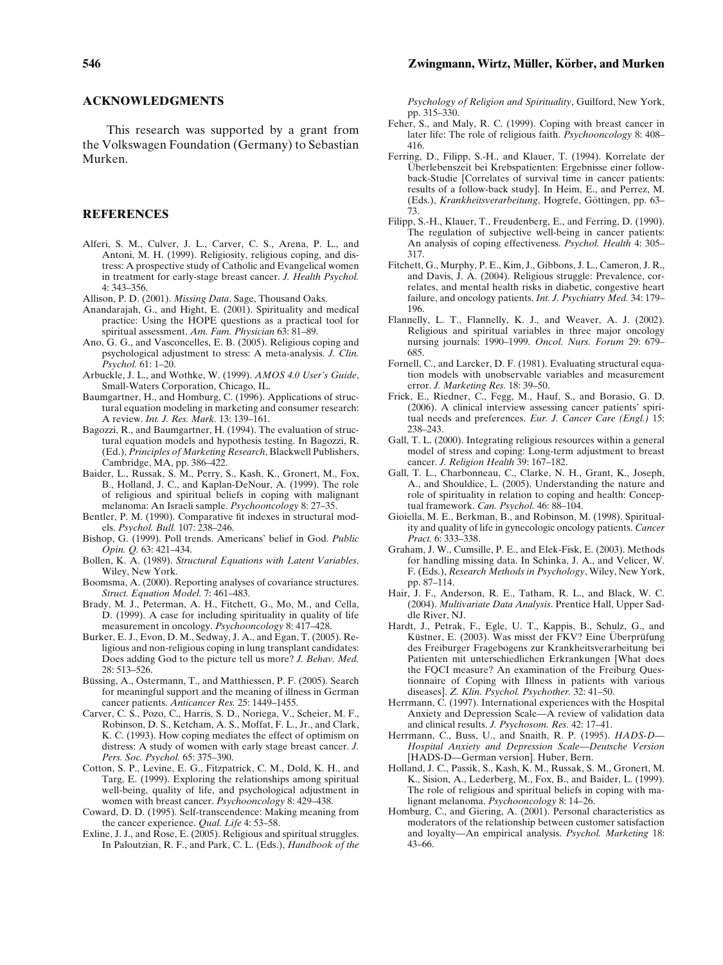## **ACKNOWLEDGMENTS**

This research was supported by a grant from the Volkswagen Foundation (Germany) to Sebastian Murken.

# **REFERENCES**

- Alferi, S. M., Culver, J. L., Carver, C. S., Arena, P. L., and Antoni, M. H. (1999). Religiosity, religious coping, and distress: A prospective study of Catholic and Evangelical women in treatment for early-stage breast cancer. *J. Health Psychol.* 4: 343–356.
- <span id="page-13-12"></span>Allison, P. D. (2001). *Missing Data*. Sage, Thousand Oaks.
- Anandarajah, G., and Hight, E. (2001). Spirituality and medical practice: Using the HOPE questions as a practical tool for spiritual assessment. *Am. Fam. Physician* 63: 81–89.
- <span id="page-13-35"></span>Ano, G. G., and Vasconcelles, E. B. (2005). Religious coping and psychological adjustment to stress: A meta-analysis. *J. Clin. Psychol.* 61: 1–20.
- <span id="page-13-10"></span>Arbuckle, J. L., and Wothke, W. (1999). *AMOS 4.0 User's Guide*, Small-Waters Corporation, Chicago, IL.
- <span id="page-13-26"></span>Baumgartner, H., and Homburg, C. (1996). Applications of structural equation modeling in marketing and consumer research: A review. *Int. J. Res. Mark.* 13: 139–161.
- <span id="page-13-32"></span>Bagozzi, R., and Baumgartner, H. (1994). The evaluation of structural equation models and hypothesis testing. In Bagozzi, R. (Ed.), *Principles of Marketing Research*, Blackwell Publishers, Cambridge, MA, pp. 386–422.
- <span id="page-13-30"></span>Baider, L., Russak, S. M., Perry, S., Kash, K., Gronert, M., Fox, B., Holland, J. C., and Kaplan-DeNour, A. (1999). The role of religious and spiritual beliefs in coping with malignant melanoma: An Israeli sample. *Psychooncology* 8: 27–35.
- Bentler, P. M. (1990). Comparative fit indexes in structural models. *Psychol. Bull.* 107: 238–246.
- <span id="page-13-29"></span>Bishop, G. (1999). Poll trends. Americans' belief in God. *Public Opin. Q.* 63: 421–434.
- <span id="page-13-15"></span>Bollen, K. A. (1989). *Structural Equations with Latent Variables*. Wiley, New York.
- <span id="page-13-25"></span>Boomsma, A. (2000). Reporting analyses of covariance structures. *Struct. Equation Model.* 7: 461–483.
- <span id="page-13-28"></span>Brady, M. J., Peterman, A. H., Fitchett, G., Mo, M., and Cella, D. (1999). A case for including spirituality in quality of life measurement in oncology. *Psychooncology* 8: 417–428.
- Burker, E. J., Evon, D. M., Sedway, J. A., and Egan, T. (2005). Religious and non-religious coping in lung transplant candidates: Does adding God to the picture tell us more? *J. Behav. Med.* 28: 513–526.
- <span id="page-13-14"></span>Büssing, A., Ostermann, T., and Matthiessen, P. F. (2005). Search for meaningful support and the meaning of illness in German cancer patients. *Anticancer Res.* 25: 1449–1455.
- <span id="page-13-19"></span>Carver, C. S., Pozo, C., Harris, S. D., Noriega, V., Scheier, M. F., Robinson, D. S., Ketcham, A. S., Moffat, F. L., Jr., and Clark, K. C. (1993). How coping mediates the effect of optimism on distress: A study of women with early stage breast cancer. *J. Pers. Soc. Psychol.* 65: 375–390.
- <span id="page-13-13"></span>Cotton, S. P., Levine, E. G., Fitzpatrick, C. M., Dold, K. H., and Targ, E. (1999). Exploring the relationships among spiritual well-being, quality of life, and psychological adjustment in women with breast cancer. *Psychooncology* 8: 429–438.
- Coward, D. D. (1995). Self-transcendence: Making meaning from the cancer experience. *Qual. Life* 4: 53–58.
- <span id="page-13-3"></span>Exline, J. J., and Rose, E. (2005). Religious and spiritual struggles. In Paloutzian, R. F., and Park, C. L. (Eds.), *Handbook of the*

*Psychology of Religion and Spirituality*, Guilford, New York, pp. 315–330.

- <span id="page-13-11"></span>Feher, S., and Maly, R. C. (1999). Coping with breast cancer in later life: The role of religious faith. *Psychooncology* 8: 408– 416.
- <span id="page-13-1"></span>Ferring, D., Filipp, S.-H., and Klauer, T. (1994). Korrelate der Überlebenszeit bei Krebspatienten: Ergebnisse einer followback-Studie [Correlates of survival time in cancer patients: results of a follow-back study]. In Heim, E., and Perrez, M. (Eds.), *Krankheitsverarbeitung*, Hogrefe, Göttingen, pp. 63– 73.
- <span id="page-13-18"></span>Filipp, S.-H., Klauer, T., Freudenberg, E., and Ferring, D. (1990). The regulation of subjective well-being in cancer patients: An analysis of coping effectiveness. *Psychol. Health* 4: 305– 317.
- <span id="page-13-17"></span>Fitchett, G., Murphy, P. E., Kim, J., Gibbons, J. L., Cameron, J. R., and Davis, J. A. (2004). Religious struggle: Prevalence, correlates, and mental health risks in diabetic, congestive heart failure, and oncology patients. *Int. J. Psychiatry Med.* 34: 179– 196.
- <span id="page-13-34"></span><span id="page-13-23"></span>Flannelly, L. T., Flannelly, K. J., and Weaver, A. J. (2002). Religious and spiritual variables in three major oncology nursing journals: 1990–1999. *Oncol. Nurs. Forum* 29: 679– 685.
- <span id="page-13-2"></span>Fornell, C., and Larcker, D. F. (1981). Evaluating structural equation models with unobservable variables and measurement error. *J. Marketing Res.* 18: 39–50.
- <span id="page-13-31"></span>Frick, E., Riedner, C., Fegg, M., Hauf, S., and Borasio, G. D. (2006). A clinical interview assessing cancer patients' spiritual needs and preferences. *Eur. J. Cancer Care (Engl.)* 15: 238–243.
- <span id="page-13-16"></span>Gall, T. L. (2000). Integrating religious resources within a general model of stress and coping: Long-term adjustment to breast cancer. *J. Religion Health* 39: 167–182.
- <span id="page-13-6"></span>Gall, T. L., Charbonneau, C., Clarke, N. H., Grant, K., Joseph, A., and Shouldice, L. (2005). Understanding the nature and role of spirituality in relation to coping and health: Conceptual framework. *Can. Psychol.* 46: 88–104.
- <span id="page-13-4"></span><span id="page-13-0"></span>Gioiella, M. E., Berkman, B., and Robinson, M. (1998). Spirituality and quality of life in gynecologic oncology patients. *Cancer Pract.* 6: 333–338.
- <span id="page-13-7"></span>Graham, J. W., Cumsille, P. E., and Elek-Fisk, E. (2003). Methods for handling missing data. In Schinka, J. A., and Velicer, W. F. (Eds.), *Research Methods in Psychology*, Wiley, New York, pp. 87–114.
- <span id="page-13-24"></span>Hair, J. F., Anderson, R. E., Tatham, R. L., and Black, W. C. (2004). *Multivariate Data Analysis*. Prentice Hall, Upper Saddle River, NJ.
- <span id="page-13-27"></span><span id="page-13-5"></span>Hardt, J., Petrak, F., Egle, U. T., Kappis, B., Schulz, G., and Küstner, E. (2003). Was misst der FKV? Eine Überprüfung des Freiburger Fragebogens zur Krankheitsverarbeitung bei Patienten mit unterschiedlichen Erkrankungen [What does the FQCI measure? An examination of the Freiburg Questionnaire of Coping with Illness in patients with various diseases]. *Z. Klin. Psychol. Psychother.* 32: 41–50.
- <span id="page-13-20"></span>Herrmann, C. (1997). International experiences with the Hospital Anxiety and Depression Scale—A review of validation data and clinical results. *J. Psychosom. Res.* 42: 17–41.
- <span id="page-13-22"></span>Herrmann, C., Buss, U., and Snaith, R. P. (1995). *HADS-D— Hospital Anxiety and Depression Scale—Deutsche Version* [HADS-D—German version]. Huber, Bern.
- <span id="page-13-21"></span>Holland, J. C., Passik, S., Kash, K. M., Russak, S. M., Gronert, M. K., Sision, A., Lederberg, M., Fox, B., and Baider, L. (1999). The role of religious and spiritual beliefs in coping with malignant melanoma. *Psychooncology* 8: 14–26.
- <span id="page-13-33"></span><span id="page-13-9"></span><span id="page-13-8"></span>Homburg, C., and Giering, A. (2001). Personal characteristics as moderators of the relationship between customer satisfaction and loyalty—An empirical analysis. *Psychol. Marketing* 18: 43–66.